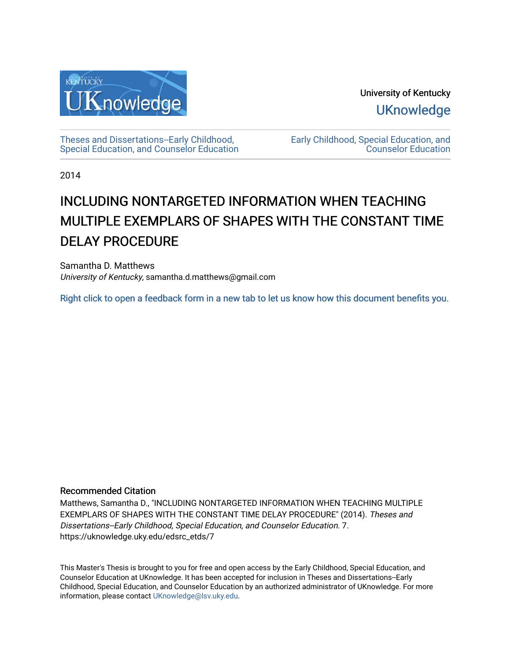

University of Kentucky **UKnowledge** 

[Theses and Dissertations--Early Childhood,](https://uknowledge.uky.edu/edsrc_etds)  [Special Education, and Counselor Education](https://uknowledge.uky.edu/edsrc_etds) [Early Childhood, Special Education, and](https://uknowledge.uky.edu/edsrc)  [Counselor Education](https://uknowledge.uky.edu/edsrc) 

2014

# INCLUDING NONTARGETED INFORMATION WHEN TEACHING MULTIPLE EXEMPLARS OF SHAPES WITH THE CONSTANT TIME DELAY PROCEDURE

Samantha D. Matthews University of Kentucky, samantha.d.matthews@gmail.com

[Right click to open a feedback form in a new tab to let us know how this document benefits you.](https://uky.az1.qualtrics.com/jfe/form/SV_9mq8fx2GnONRfz7)

#### Recommended Citation

Matthews, Samantha D., "INCLUDING NONTARGETED INFORMATION WHEN TEACHING MULTIPLE EXEMPLARS OF SHAPES WITH THE CONSTANT TIME DELAY PROCEDURE" (2014). Theses and Dissertations--Early Childhood, Special Education, and Counselor Education. 7. https://uknowledge.uky.edu/edsrc\_etds/7

This Master's Thesis is brought to you for free and open access by the Early Childhood, Special Education, and Counselor Education at UKnowledge. It has been accepted for inclusion in Theses and Dissertations--Early Childhood, Special Education, and Counselor Education by an authorized administrator of UKnowledge. For more information, please contact [UKnowledge@lsv.uky.edu](mailto:UKnowledge@lsv.uky.edu).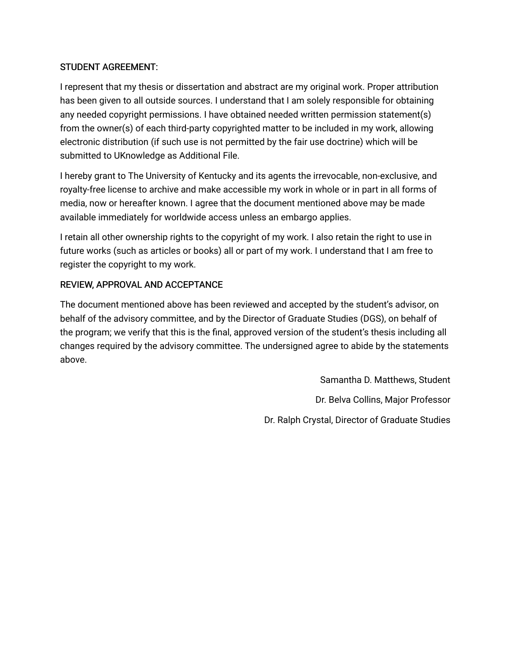### STUDENT AGREEMENT:

I represent that my thesis or dissertation and abstract are my original work. Proper attribution has been given to all outside sources. I understand that I am solely responsible for obtaining any needed copyright permissions. I have obtained needed written permission statement(s) from the owner(s) of each third-party copyrighted matter to be included in my work, allowing electronic distribution (if such use is not permitted by the fair use doctrine) which will be submitted to UKnowledge as Additional File.

I hereby grant to The University of Kentucky and its agents the irrevocable, non-exclusive, and royalty-free license to archive and make accessible my work in whole or in part in all forms of media, now or hereafter known. I agree that the document mentioned above may be made available immediately for worldwide access unless an embargo applies.

I retain all other ownership rights to the copyright of my work. I also retain the right to use in future works (such as articles or books) all or part of my work. I understand that I am free to register the copyright to my work.

# REVIEW, APPROVAL AND ACCEPTANCE

The document mentioned above has been reviewed and accepted by the student's advisor, on behalf of the advisory committee, and by the Director of Graduate Studies (DGS), on behalf of the program; we verify that this is the final, approved version of the student's thesis including all changes required by the advisory committee. The undersigned agree to abide by the statements above.

> Samantha D. Matthews, Student Dr. Belva Collins, Major Professor Dr. Ralph Crystal, Director of Graduate Studies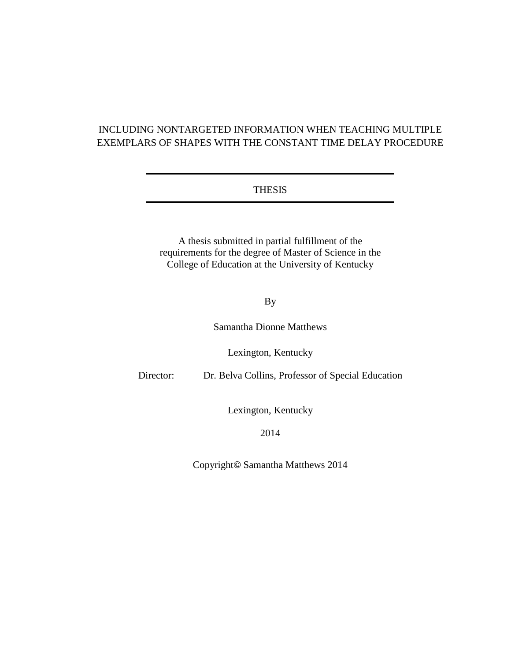# INCLUDING NONTARGETED INFORMATION WHEN TEACHING MULTIPLE EXEMPLARS OF SHAPES WITH THE CONSTANT TIME DELAY PROCEDURE

#### THESIS

A thesis submitted in partial fulfillment of the requirements for the degree of Master of Science in the College of Education at the University of Kentucky

#### By

Samantha Dionne Matthews

Lexington, Kentucky

Director: Dr. Belva Collins, Professor of Special Education

Lexington, Kentucky

2014

Copyright**©** Samantha Matthews 2014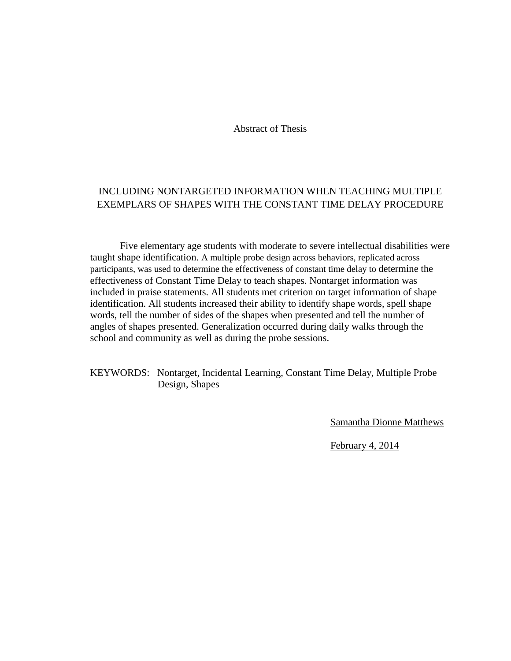Abstract of Thesis

# INCLUDING NONTARGETED INFORMATION WHEN TEACHING MULTIPLE EXEMPLARS OF SHAPES WITH THE CONSTANT TIME DELAY PROCEDURE

Five elementary age students with moderate to severe intellectual disabilities were taught shape identification. A multiple probe design across behaviors, replicated across participants, was used to determine the effectiveness of constant time delay to determine the effectiveness of Constant Time Delay to teach shapes. Nontarget information was included in praise statements. All students met criterion on target information of shape identification. All students increased their ability to identify shape words, spell shape words, tell the number of sides of the shapes when presented and tell the number of angles of shapes presented. Generalization occurred during daily walks through the school and community as well as during the probe sessions.

KEYWORDS: Nontarget, Incidental Learning, Constant Time Delay, Multiple Probe Design, Shapes

Samantha Dionne Matthews

February 4, 2014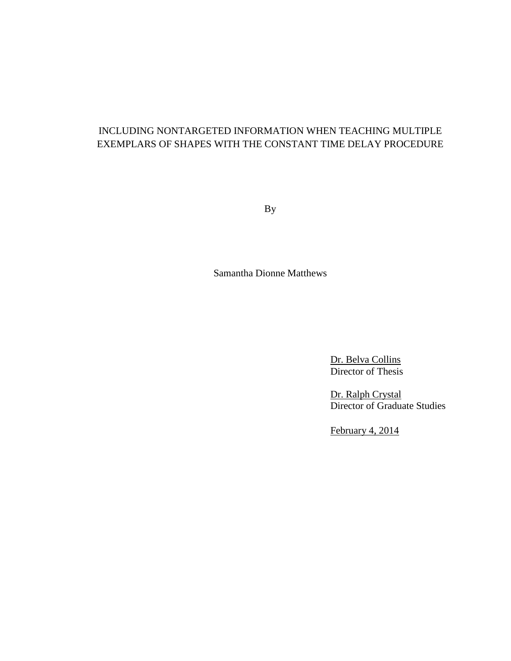# INCLUDING NONTARGETED INFORMATION WHEN TEACHING MULTIPLE EXEMPLARS OF SHAPES WITH THE CONSTANT TIME DELAY PROCEDURE

By

Samantha Dionne Matthews

Dr. Belva Collins Director of Thesis

Dr. Ralph Crystal Director of Graduate Studies

February 4, 2014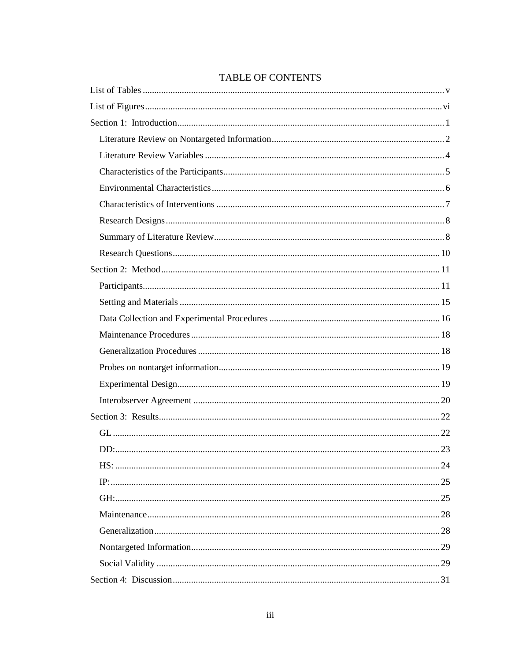### **TABLE OF CONTENTS**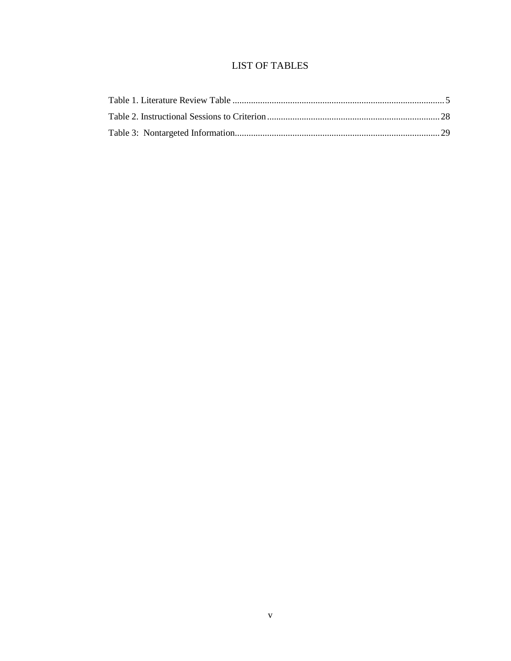# LIST OF TABLES

<span id="page-7-0"></span>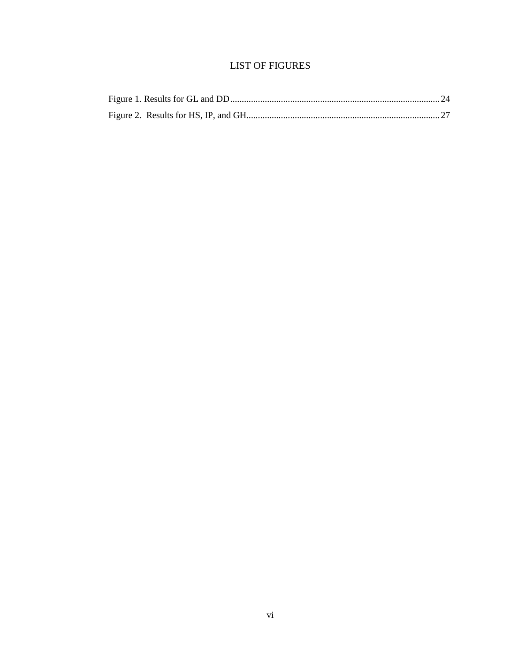# **LIST OF FIGURES**

<span id="page-8-0"></span>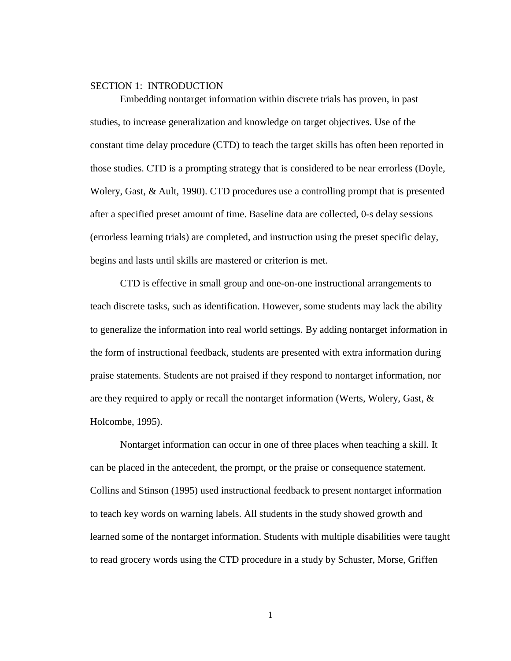#### <span id="page-9-0"></span>SECTION 1: INTRODUCTION

Embedding nontarget information within discrete trials has proven, in past studies, to increase generalization and knowledge on target objectives. Use of the constant time delay procedure (CTD) to teach the target skills has often been reported in those studies. CTD is a prompting strategy that is considered to be near errorless (Doyle, Wolery, Gast, & Ault, 1990). CTD procedures use a controlling prompt that is presented after a specified preset amount of time. Baseline data are collected, 0-s delay sessions (errorless learning trials) are completed, and instruction using the preset specific delay, begins and lasts until skills are mastered or criterion is met.

CTD is effective in small group and one-on-one instructional arrangements to teach discrete tasks, such as identification. However, some students may lack the ability to generalize the information into real world settings. By adding nontarget information in the form of instructional feedback, students are presented with extra information during praise statements. Students are not praised if they respond to nontarget information, nor are they required to apply or recall the nontarget information (Werts, Wolery, Gast, & Holcombe, 1995).

Nontarget information can occur in one of three places when teaching a skill. It can be placed in the antecedent, the prompt, or the praise or consequence statement. Collins and Stinson (1995) used instructional feedback to present nontarget information to teach key words on warning labels. All students in the study showed growth and learned some of the nontarget information. Students with multiple disabilities were taught to read grocery words using the CTD procedure in a study by Schuster, Morse, Griffen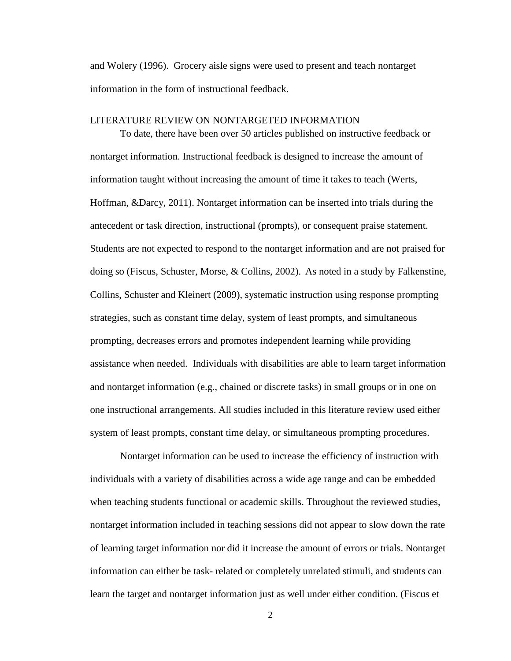and Wolery (1996). Grocery aisle signs were used to present and teach nontarget information in the form of instructional feedback.

#### <span id="page-10-0"></span>LITERATURE REVIEW ON NONTARGETED INFORMATION

To date, there have been over 50 articles published on instructive feedback or nontarget information. Instructional feedback is designed to increase the amount of information taught without increasing the amount of time it takes to teach (Werts, Hoffman, &Darcy, 2011). Nontarget information can be inserted into trials during the antecedent or task direction, instructional (prompts), or consequent praise statement. Students are not expected to respond to the nontarget information and are not praised for doing so (Fiscus, Schuster, Morse, & Collins, 2002). As noted in a study by Falkenstine, Collins, Schuster and Kleinert (2009), systematic instruction using response prompting strategies, such as constant time delay, system of least prompts, and simultaneous prompting, decreases errors and promotes independent learning while providing assistance when needed. Individuals with disabilities are able to learn target information and nontarget information (e.g., chained or discrete tasks) in small groups or in one on one instructional arrangements. All studies included in this literature review used either system of least prompts, constant time delay, or simultaneous prompting procedures.

Nontarget information can be used to increase the efficiency of instruction with individuals with a variety of disabilities across a wide age range and can be embedded when teaching students functional or academic skills. Throughout the reviewed studies, nontarget information included in teaching sessions did not appear to slow down the rate of learning target information nor did it increase the amount of errors or trials. Nontarget information can either be task- related or completely unrelated stimuli, and students can learn the target and nontarget information just as well under either condition. (Fiscus et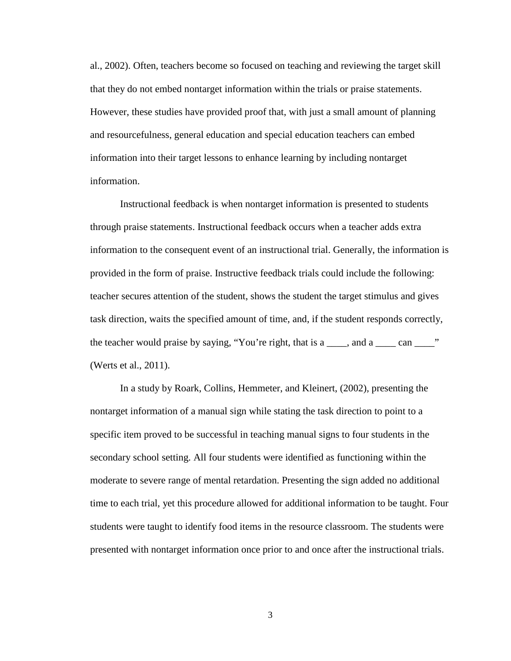al., 2002). Often, teachers become so focused on teaching and reviewing the target skill that they do not embed nontarget information within the trials or praise statements. However, these studies have provided proof that, with just a small amount of planning and resourcefulness, general education and special education teachers can embed information into their target lessons to enhance learning by including nontarget information.

Instructional feedback is when nontarget information is presented to students through praise statements. Instructional feedback occurs when a teacher adds extra information to the consequent event of an instructional trial. Generally, the information is provided in the form of praise. Instructive feedback trials could include the following: teacher secures attention of the student, shows the student the target stimulus and gives task direction, waits the specified amount of time, and, if the student responds correctly, the teacher would praise by saying, "You're right, that is a \_\_\_\_, and a \_\_\_\_ can \_\_\_\_" (Werts et al., 2011).

In a study by Roark, Collins, Hemmeter, and Kleinert, (2002)*,* presenting the nontarget information of a manual sign while stating the task direction to point to a specific item proved to be successful in teaching manual signs to four students in the secondary school setting. All four students were identified as functioning within the moderate to severe range of mental retardation. Presenting the sign added no additional time to each trial, yet this procedure allowed for additional information to be taught. Four students were taught to identify food items in the resource classroom. The students were presented with nontarget information once prior to and once after the instructional trials.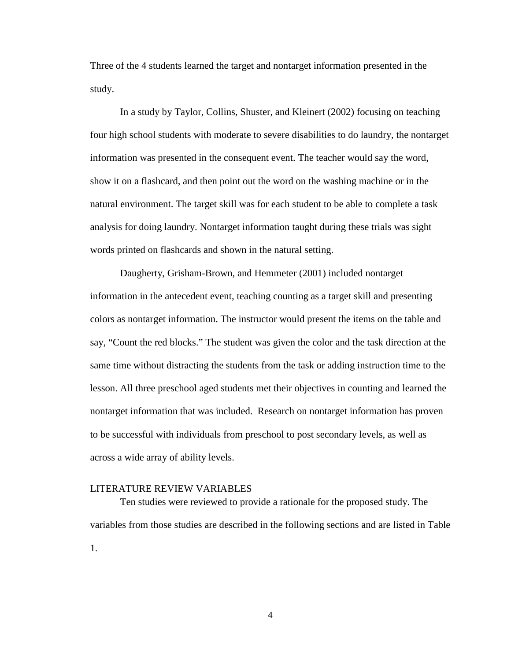Three of the 4 students learned the target and nontarget information presented in the study.

In a study by Taylor, Collins, Shuster, and Kleinert (2002) focusing on teaching four high school students with moderate to severe disabilities to do laundry, the nontarget information was presented in the consequent event. The teacher would say the word, show it on a flashcard, and then point out the word on the washing machine or in the natural environment. The target skill was for each student to be able to complete a task analysis for doing laundry. Nontarget information taught during these trials was sight words printed on flashcards and shown in the natural setting.

Daugherty, Grisham-Brown, and Hemmeter (2001) included nontarget information in the antecedent event, teaching counting as a target skill and presenting colors as nontarget information. The instructor would present the items on the table and say, "Count the red blocks." The student was given the color and the task direction at the same time without distracting the students from the task or adding instruction time to the lesson. All three preschool aged students met their objectives in counting and learned the nontarget information that was included. Research on nontarget information has proven to be successful with individuals from preschool to post secondary levels, as well as across a wide array of ability levels.

#### <span id="page-12-0"></span>LITERATURE REVIEW VARIABLES

Ten studies were reviewed to provide a rationale for the proposed study. The variables from those studies are described in the following sections and are listed in Table 1.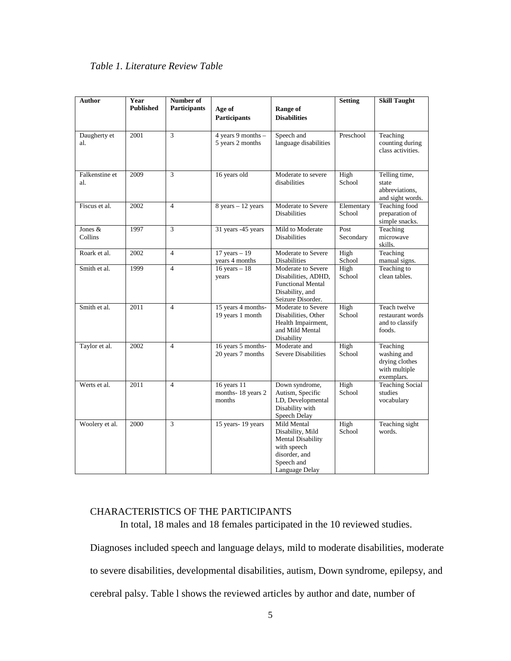<span id="page-13-1"></span>

| Author                | Number of<br>Year<br><b>Published</b><br><b>Participants</b><br>Age of<br>Range of |                | <b>Setting</b>                             | <b>Skill Taught</b>                                                                                                         |                      |                                                                          |
|-----------------------|------------------------------------------------------------------------------------|----------------|--------------------------------------------|-----------------------------------------------------------------------------------------------------------------------------|----------------------|--------------------------------------------------------------------------|
|                       |                                                                                    |                | Participants                               | <b>Disabilities</b>                                                                                                         |                      |                                                                          |
| Daugherty et<br>al.   | 2001                                                                               | $\overline{3}$ | 4 years 9 months -<br>5 years 2 months     | Speech and<br>language disabilities                                                                                         | Preschool            | Teaching<br>counting during<br>class activities.                         |
| Falkenstine et<br>al. | 2009                                                                               | 3              | 16 years old                               | Moderate to severe<br>disabilities                                                                                          | High<br>School       | Telling time,<br>state<br>abbreviations,<br>and sight words.             |
| Fiscus et al.         | 2002                                                                               | $\overline{4}$ | $8$ years $-12$ years                      | Moderate to Severe<br><b>Disabilities</b>                                                                                   | Elementary<br>School | <b>Teaching food</b><br>preparation of<br>simple snacks.                 |
| Jones &<br>Collins    | 1997                                                                               | 3              | 31 years -45 years                         | Mild to Moderate<br><b>Disabilities</b>                                                                                     | Post<br>Secondary    | Teaching<br>microwave<br>skills.                                         |
| Roark et al.          | 2002                                                                               | $\overline{4}$ | $17$ years $-19$<br>years 4 months         | Moderate to Severe<br><b>Disabilities</b>                                                                                   | High<br>School       | Teaching<br>manual signs.                                                |
| Smith et al.          | 1999                                                                               | $\overline{4}$ | $16$ years $-18$<br>years                  | Moderate to Severe<br>Disabilities, ADHD,<br><b>Functional Mental</b><br>Disability, and<br>Seizure Disorder.               | High<br>School       | Teaching to<br>clean tables.                                             |
| Smith et al.          | 2011<br>$\overline{4}$                                                             |                | 15 years 4 months-<br>19 years 1 month     | Moderate to Severe<br>Disabilities, Other<br>Health Impairment,<br>and Mild Mental<br>Disability                            | High<br>School       | Teach twelve<br>restaurant words<br>and to classify<br>foods.            |
| Taylor et al.         | 2002                                                                               | $\overline{4}$ | 16 years 5 months-<br>20 years 7 months    | Moderate and<br><b>Severe Disabilities</b>                                                                                  | High<br>School       | Teaching<br>washing and<br>drying clothes<br>with multiple<br>exemplars. |
| Werts et al.          | 2011                                                                               | $\overline{4}$ | 16 years 11<br>months-18 years 2<br>months | Down syndrome,<br>Autism, Specific<br>LD, Developmental<br>Disability with<br>Speech Delay                                  | High<br>School       | <b>Teaching Social</b><br>studies<br>vocabulary                          |
| Woolery et al.        | 2000                                                                               | 3              | 15 years-19 years                          | Mild Mental<br>Disability, Mild<br><b>Mental Disability</b><br>with speech<br>disorder, and<br>Speech and<br>Language Delay | High<br>School       | Teaching sight<br>words.                                                 |

### <span id="page-13-0"></span>CHARACTERISTICS OF THE PARTICIPANTS

In total, 18 males and 18 females participated in the 10 reviewed studies.

Diagnoses included speech and language delays, mild to moderate disabilities, moderate to severe disabilities, developmental disabilities, autism, Down syndrome, epilepsy, and cerebral palsy. Table l shows the reviewed articles by author and date, number of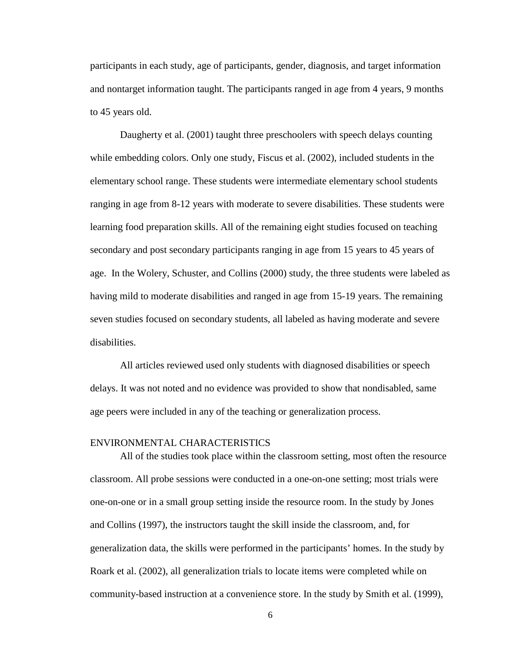participants in each study, age of participants, gender, diagnosis, and target information and nontarget information taught. The participants ranged in age from 4 years, 9 months to 45 years old.

Daugherty et al. (2001) taught three preschoolers with speech delays counting while embedding colors. Only one study, Fiscus et al. (2002), included students in the elementary school range. These students were intermediate elementary school students ranging in age from 8-12 years with moderate to severe disabilities. These students were learning food preparation skills. All of the remaining eight studies focused on teaching secondary and post secondary participants ranging in age from 15 years to 45 years of age. In the Wolery, Schuster, and Collins (2000) study, the three students were labeled as having mild to moderate disabilities and ranged in age from 15-19 years. The remaining seven studies focused on secondary students, all labeled as having moderate and severe disabilities.

All articles reviewed used only students with diagnosed disabilities or speech delays. It was not noted and no evidence was provided to show that nondisabled, same age peers were included in any of the teaching or generalization process.

#### <span id="page-14-0"></span>ENVIRONMENTAL CHARACTERISTICS

All of the studies took place within the classroom setting, most often the resource classroom. All probe sessions were conducted in a one-on-one setting; most trials were one-on-one or in a small group setting inside the resource room. In the study by Jones and Collins (1997), the instructors taught the skill inside the classroom, and, for generalization data, the skills were performed in the participants' homes. In the study by Roark et al. (2002), all generalization trials to locate items were completed while on community-based instruction at a convenience store. In the study by Smith et al. (1999),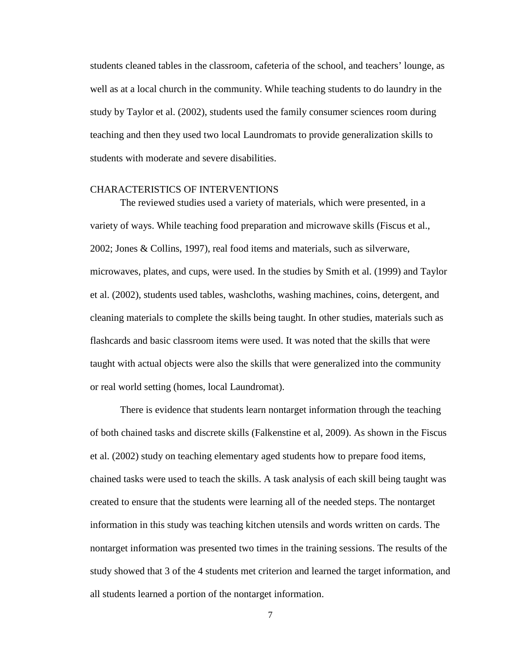students cleaned tables in the classroom, cafeteria of the school, and teachers' lounge, as well as at a local church in the community. While teaching students to do laundry in the study by Taylor et al. (2002), students used the family consumer sciences room during teaching and then they used two local Laundromats to provide generalization skills to students with moderate and severe disabilities.

#### <span id="page-15-0"></span>CHARACTERISTICS OF INTERVENTIONS

The reviewed studies used a variety of materials, which were presented, in a variety of ways. While teaching food preparation and microwave skills (Fiscus et al., 2002; Jones & Collins, 1997), real food items and materials, such as silverware, microwaves, plates, and cups, were used. In the studies by Smith et al. (1999) and Taylor et al. (2002), students used tables, washcloths, washing machines, coins, detergent, and cleaning materials to complete the skills being taught. In other studies, materials such as flashcards and basic classroom items were used. It was noted that the skills that were taught with actual objects were also the skills that were generalized into the community or real world setting (homes, local Laundromat).

There is evidence that students learn nontarget information through the teaching of both chained tasks and discrete skills (Falkenstine et al, 2009). As shown in the Fiscus et al. (2002) study on teaching elementary aged students how to prepare food items, chained tasks were used to teach the skills. A task analysis of each skill being taught was created to ensure that the students were learning all of the needed steps. The nontarget information in this study was teaching kitchen utensils and words written on cards. The nontarget information was presented two times in the training sessions. The results of the study showed that 3 of the 4 students met criterion and learned the target information, and all students learned a portion of the nontarget information.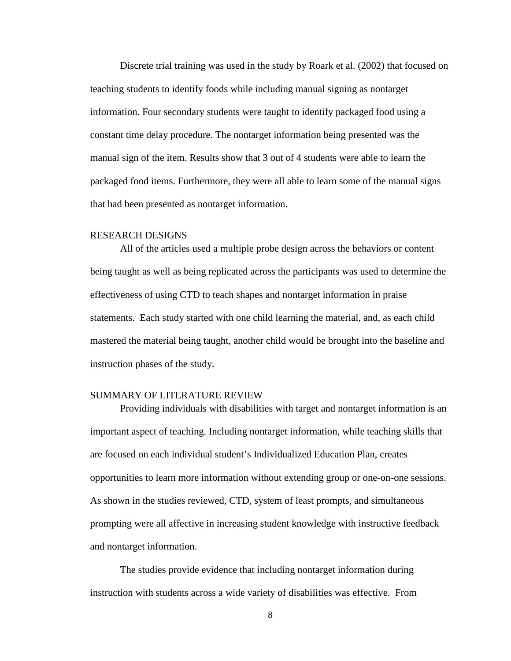Discrete trial training was used in the study by Roark et al. (2002) that focused on teaching students to identify foods while including manual signing as nontarget information. Four secondary students were taught to identify packaged food using a constant time delay procedure. The nontarget information being presented was the manual sign of the item. Results show that 3 out of 4 students were able to learn the packaged food items. Furthermore, they were all able to learn some of the manual signs that had been presented as nontarget information.

#### <span id="page-16-0"></span>RESEARCH DESIGNS

All of the articles used a multiple probe design across the behaviors or content being taught as well as being replicated across the participants was used to determine the effectiveness of using CTD to teach shapes and nontarget information in praise statements. Each study started with one child learning the material, and, as each child mastered the material being taught, another child would be brought into the baseline and instruction phases of the study.

#### <span id="page-16-1"></span>SUMMARY OF LITERATURE REVIEW

Providing individuals with disabilities with target and nontarget information is an important aspect of teaching. Including nontarget information, while teaching skills that are focused on each individual student's Individualized Education Plan, creates opportunities to learn more information without extending group or one-on-one sessions. As shown in the studies reviewed, CTD, system of least prompts, and simultaneous prompting were all affective in increasing student knowledge with instructive feedback and nontarget information.

The studies provide evidence that including nontarget information during instruction with students across a wide variety of disabilities was effective. From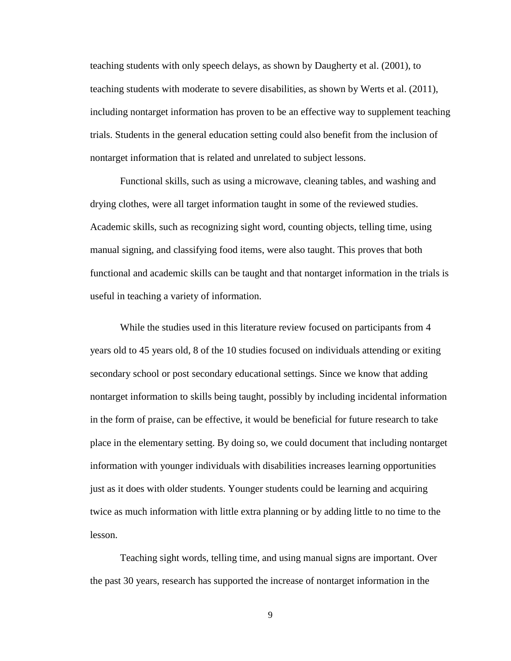teaching students with only speech delays, as shown by Daugherty et al. (2001), to teaching students with moderate to severe disabilities, as shown by Werts et al. (2011), including nontarget information has proven to be an effective way to supplement teaching trials. Students in the general education setting could also benefit from the inclusion of nontarget information that is related and unrelated to subject lessons.

Functional skills, such as using a microwave, cleaning tables, and washing and drying clothes, were all target information taught in some of the reviewed studies. Academic skills, such as recognizing sight word, counting objects, telling time, using manual signing, and classifying food items, were also taught. This proves that both functional and academic skills can be taught and that nontarget information in the trials is useful in teaching a variety of information.

While the studies used in this literature review focused on participants from 4 years old to 45 years old, 8 of the 10 studies focused on individuals attending or exiting secondary school or post secondary educational settings. Since we know that adding nontarget information to skills being taught, possibly by including incidental information in the form of praise, can be effective, it would be beneficial for future research to take place in the elementary setting. By doing so, we could document that including nontarget information with younger individuals with disabilities increases learning opportunities just as it does with older students. Younger students could be learning and acquiring twice as much information with little extra planning or by adding little to no time to the lesson.

Teaching sight words, telling time, and using manual signs are important. Over the past 30 years, research has supported the increase of nontarget information in the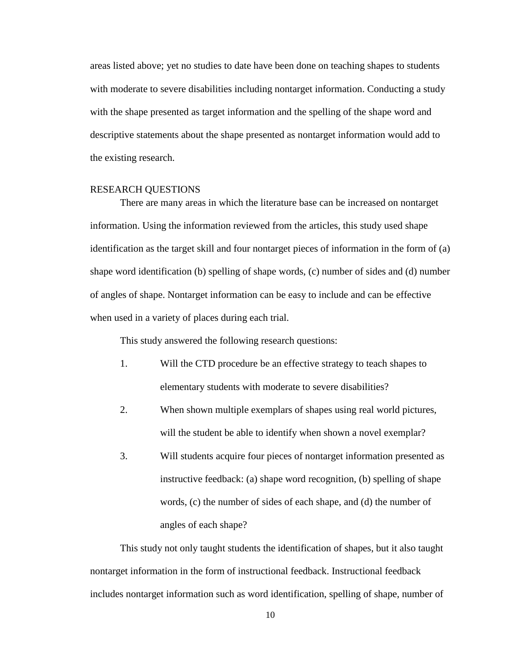areas listed above; yet no studies to date have been done on teaching shapes to students with moderate to severe disabilities including nontarget information. Conducting a study with the shape presented as target information and the spelling of the shape word and descriptive statements about the shape presented as nontarget information would add to the existing research.

#### <span id="page-18-0"></span>RESEARCH QUESTIONS

There are many areas in which the literature base can be increased on nontarget information. Using the information reviewed from the articles, this study used shape identification as the target skill and four nontarget pieces of information in the form of (a) shape word identification (b) spelling of shape words, (c) number of sides and (d) number of angles of shape. Nontarget information can be easy to include and can be effective when used in a variety of places during each trial.

This study answered the following research questions:

- 1. Will the CTD procedure be an effective strategy to teach shapes to elementary students with moderate to severe disabilities?
- 2. When shown multiple exemplars of shapes using real world pictures, will the student be able to identify when shown a novel exemplar?
- 3. Will students acquire four pieces of nontarget information presented as instructive feedback: (a) shape word recognition, (b) spelling of shape words, (c) the number of sides of each shape, and (d) the number of angles of each shape?

This study not only taught students the identification of shapes, but it also taught nontarget information in the form of instructional feedback. Instructional feedback includes nontarget information such as word identification, spelling of shape, number of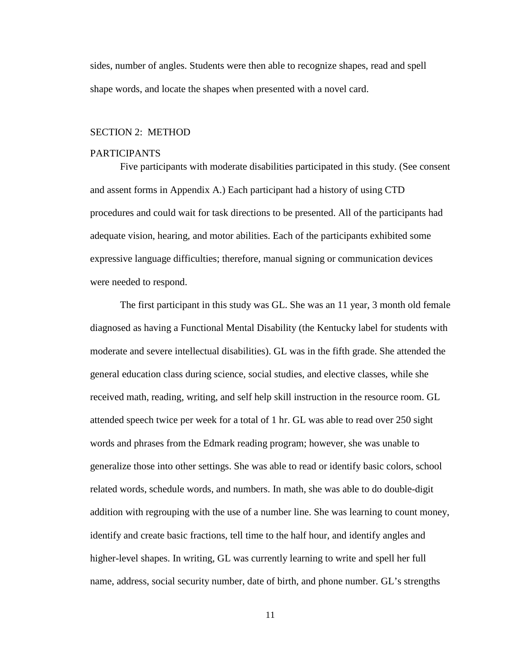sides, number of angles. Students were then able to recognize shapes, read and spell shape words, and locate the shapes when presented with a novel card.

#### <span id="page-19-0"></span>SECTION 2: METHOD

#### <span id="page-19-1"></span>PARTICIPANTS

Five participants with moderate disabilities participated in this study. (See consent and assent forms in Appendix A.) Each participant had a history of using CTD procedures and could wait for task directions to be presented. All of the participants had adequate vision, hearing, and motor abilities. Each of the participants exhibited some expressive language difficulties; therefore, manual signing or communication devices were needed to respond.

The first participant in this study was GL. She was an 11 year, 3 month old female diagnosed as having a Functional Mental Disability (the Kentucky label for students with moderate and severe intellectual disabilities). GL was in the fifth grade. She attended the general education class during science, social studies, and elective classes, while she received math, reading, writing, and self help skill instruction in the resource room. GL attended speech twice per week for a total of 1 hr. GL was able to read over 250 sight words and phrases from the Edmark reading program; however, she was unable to generalize those into other settings. She was able to read or identify basic colors, school related words, schedule words, and numbers. In math, she was able to do double-digit addition with regrouping with the use of a number line. She was learning to count money, identify and create basic fractions, tell time to the half hour, and identify angles and higher-level shapes. In writing, GL was currently learning to write and spell her full name, address, social security number, date of birth, and phone number. GL's strengths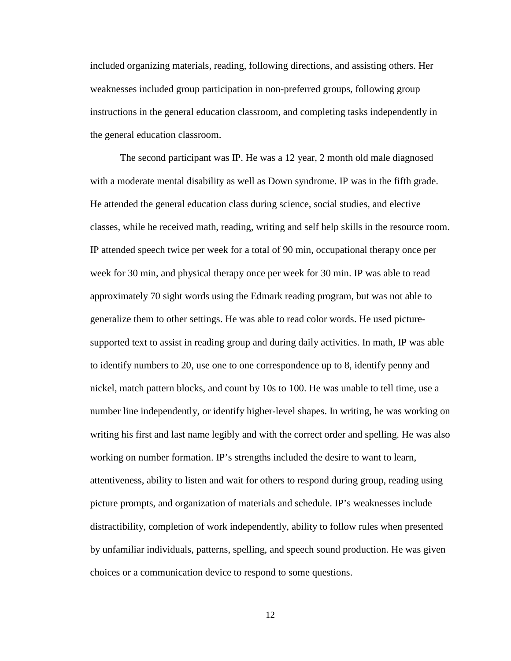included organizing materials, reading, following directions, and assisting others. Her weaknesses included group participation in non-preferred groups, following group instructions in the general education classroom, and completing tasks independently in the general education classroom.

The second participant was IP. He was a 12 year, 2 month old male diagnosed with a moderate mental disability as well as Down syndrome. IP was in the fifth grade. He attended the general education class during science, social studies, and elective classes, while he received math, reading, writing and self help skills in the resource room. IP attended speech twice per week for a total of 90 min, occupational therapy once per week for 30 min, and physical therapy once per week for 30 min. IP was able to read approximately 70 sight words using the Edmark reading program, but was not able to generalize them to other settings. He was able to read color words. He used picturesupported text to assist in reading group and during daily activities. In math, IP was able to identify numbers to 20, use one to one correspondence up to 8, identify penny and nickel, match pattern blocks, and count by 10s to 100. He was unable to tell time, use a number line independently, or identify higher-level shapes. In writing, he was working on writing his first and last name legibly and with the correct order and spelling. He was also working on number formation. IP's strengths included the desire to want to learn, attentiveness, ability to listen and wait for others to respond during group, reading using picture prompts, and organization of materials and schedule. IP's weaknesses include distractibility, completion of work independently, ability to follow rules when presented by unfamiliar individuals, patterns, spelling, and speech sound production. He was given choices or a communication device to respond to some questions.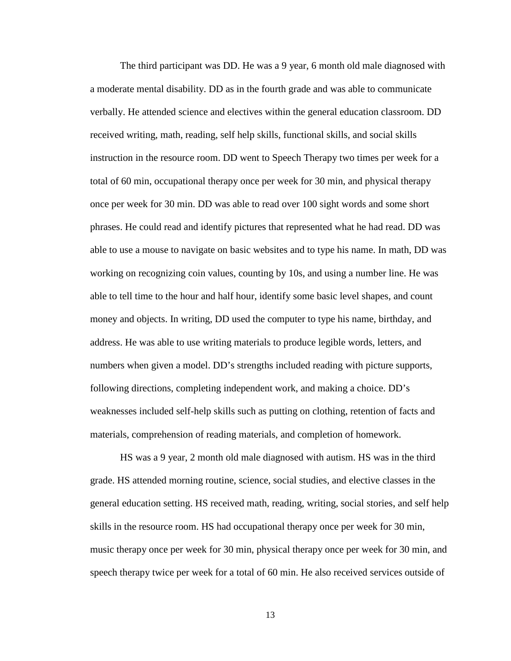The third participant was DD. He was a 9 year, 6 month old male diagnosed with a moderate mental disability. DD as in the fourth grade and was able to communicate verbally. He attended science and electives within the general education classroom. DD received writing, math, reading, self help skills, functional skills, and social skills instruction in the resource room. DD went to Speech Therapy two times per week for a total of 60 min, occupational therapy once per week for 30 min, and physical therapy once per week for 30 min. DD was able to read over 100 sight words and some short phrases. He could read and identify pictures that represented what he had read. DD was able to use a mouse to navigate on basic websites and to type his name. In math, DD was working on recognizing coin values, counting by 10s, and using a number line. He was able to tell time to the hour and half hour, identify some basic level shapes, and count money and objects. In writing, DD used the computer to type his name, birthday, and address. He was able to use writing materials to produce legible words, letters, and numbers when given a model. DD's strengths included reading with picture supports, following directions, completing independent work, and making a choice. DD's weaknesses included self-help skills such as putting on clothing, retention of facts and materials, comprehension of reading materials, and completion of homework.

HS was a 9 year, 2 month old male diagnosed with autism. HS was in the third grade. HS attended morning routine, science, social studies, and elective classes in the general education setting. HS received math, reading, writing, social stories, and self help skills in the resource room. HS had occupational therapy once per week for 30 min, music therapy once per week for 30 min, physical therapy once per week for 30 min, and speech therapy twice per week for a total of 60 min. He also received services outside of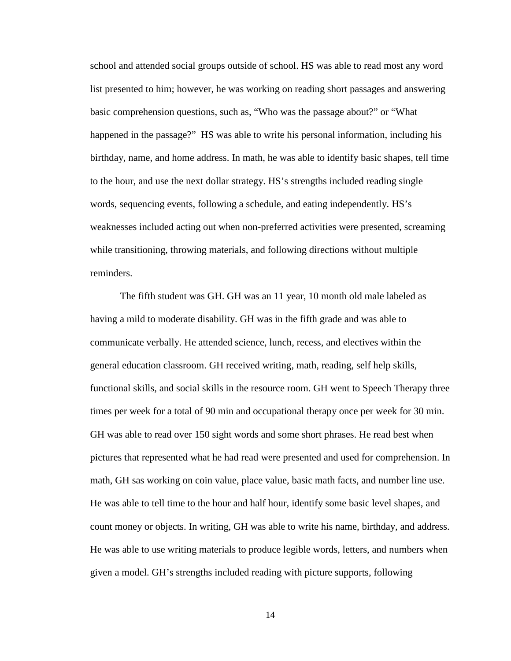school and attended social groups outside of school. HS was able to read most any word list presented to him; however, he was working on reading short passages and answering basic comprehension questions, such as, "Who was the passage about?" or "What happened in the passage?" HS was able to write his personal information, including his birthday, name, and home address. In math, he was able to identify basic shapes, tell time to the hour, and use the next dollar strategy. HS's strengths included reading single words, sequencing events, following a schedule, and eating independently. HS's weaknesses included acting out when non-preferred activities were presented, screaming while transitioning, throwing materials, and following directions without multiple reminders.

The fifth student was GH. GH was an 11 year, 10 month old male labeled as having a mild to moderate disability. GH was in the fifth grade and was able to communicate verbally. He attended science, lunch, recess, and electives within the general education classroom. GH received writing, math, reading, self help skills, functional skills, and social skills in the resource room. GH went to Speech Therapy three times per week for a total of 90 min and occupational therapy once per week for 30 min. GH was able to read over 150 sight words and some short phrases. He read best when pictures that represented what he had read were presented and used for comprehension. In math, GH sas working on coin value, place value, basic math facts, and number line use. He was able to tell time to the hour and half hour, identify some basic level shapes, and count money or objects. In writing, GH was able to write his name, birthday, and address. He was able to use writing materials to produce legible words, letters, and numbers when given a model. GH's strengths included reading with picture supports, following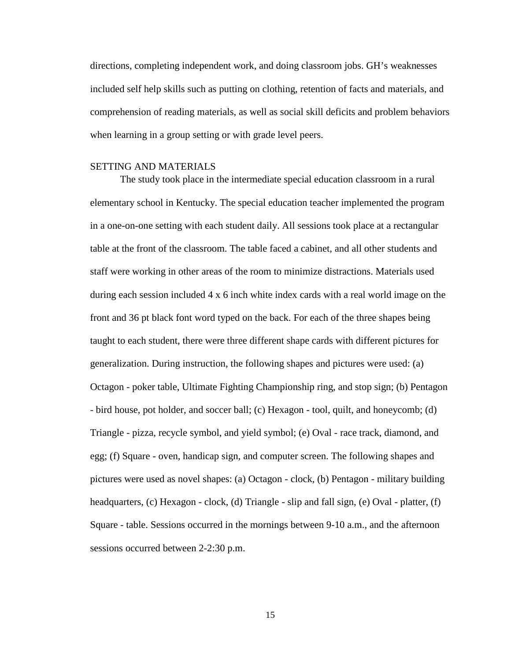directions, completing independent work, and doing classroom jobs. GH's weaknesses included self help skills such as putting on clothing, retention of facts and materials, and comprehension of reading materials, as well as social skill deficits and problem behaviors when learning in a group setting or with grade level peers.

#### <span id="page-23-0"></span>SETTING AND MATERIALS

The study took place in the intermediate special education classroom in a rural elementary school in Kentucky. The special education teacher implemented the program in a one-on-one setting with each student daily. All sessions took place at a rectangular table at the front of the classroom. The table faced a cabinet, and all other students and staff were working in other areas of the room to minimize distractions. Materials used during each session included 4 x 6 inch white index cards with a real world image on the front and 36 pt black font word typed on the back. For each of the three shapes being taught to each student, there were three different shape cards with different pictures for generalization. During instruction, the following shapes and pictures were used: (a) Octagon - poker table, Ultimate Fighting Championship ring, and stop sign; (b) Pentagon - bird house, pot holder, and soccer ball; (c) Hexagon - tool, quilt, and honeycomb; (d) Triangle - pizza, recycle symbol, and yield symbol; (e) Oval - race track, diamond, and egg; (f) Square - oven, handicap sign, and computer screen. The following shapes and pictures were used as novel shapes: (a) Octagon - clock, (b) Pentagon - military building headquarters, (c) Hexagon - clock, (d) Triangle - slip and fall sign, (e) Oval - platter, (f) Square - table. Sessions occurred in the mornings between 9-10 a.m., and the afternoon sessions occurred between 2-2:30 p.m.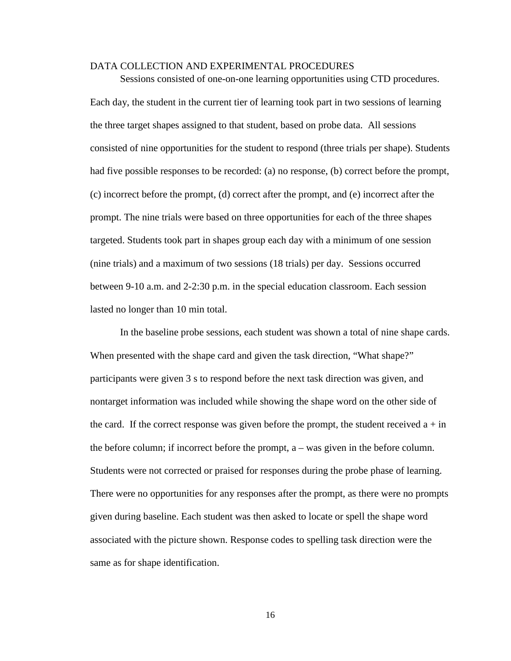#### <span id="page-24-0"></span>DATA COLLECTION AND EXPERIMENTAL PROCEDURES

Sessions consisted of one-on-one learning opportunities using CTD procedures. Each day, the student in the current tier of learning took part in two sessions of learning the three target shapes assigned to that student, based on probe data. All sessions consisted of nine opportunities for the student to respond (three trials per shape). Students had five possible responses to be recorded: (a) no response, (b) correct before the prompt, (c) incorrect before the prompt, (d) correct after the prompt, and (e) incorrect after the prompt. The nine trials were based on three opportunities for each of the three shapes targeted. Students took part in shapes group each day with a minimum of one session (nine trials) and a maximum of two sessions (18 trials) per day. Sessions occurred between 9-10 a.m. and 2-2:30 p.m. in the special education classroom. Each session lasted no longer than 10 min total.

In the baseline probe sessions, each student was shown a total of nine shape cards. When presented with the shape card and given the task direction, "What shape?" participants were given 3 s to respond before the next task direction was given, and nontarget information was included while showing the shape word on the other side of the card. If the correct response was given before the prompt, the student received  $a + in$ the before column; if incorrect before the prompt, a – was given in the before column. Students were not corrected or praised for responses during the probe phase of learning. There were no opportunities for any responses after the prompt, as there were no prompts given during baseline. Each student was then asked to locate or spell the shape word associated with the picture shown. Response codes to spelling task direction were the same as for shape identification.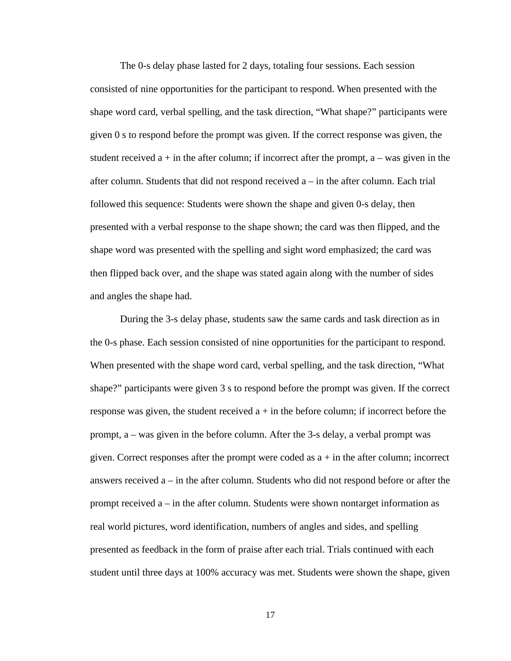The 0-s delay phase lasted for 2 days, totaling four sessions. Each session consisted of nine opportunities for the participant to respond. When presented with the shape word card, verbal spelling, and the task direction, "What shape?" participants were given 0 s to respond before the prompt was given. If the correct response was given, the student received  $a + in$  the after column; if incorrect after the prompt,  $a - was$  given in the after column. Students that did not respond received a – in the after column. Each trial followed this sequence: Students were shown the shape and given 0-s delay, then presented with a verbal response to the shape shown; the card was then flipped, and the shape word was presented with the spelling and sight word emphasized; the card was then flipped back over, and the shape was stated again along with the number of sides and angles the shape had.

During the 3-s delay phase, students saw the same cards and task direction as in the 0-s phase. Each session consisted of nine opportunities for the participant to respond. When presented with the shape word card, verbal spelling, and the task direction, "What shape?" participants were given 3 s to respond before the prompt was given. If the correct response was given, the student received  $a + in$  the before column; if incorrect before the prompt, a – was given in the before column. After the 3-s delay, a verbal prompt was given. Correct responses after the prompt were coded as  $a + in$  the after column; incorrect answers received a – in the after column. Students who did not respond before or after the prompt received a – in the after column. Students were shown nontarget information as real world pictures, word identification, numbers of angles and sides, and spelling presented as feedback in the form of praise after each trial. Trials continued with each student until three days at 100% accuracy was met. Students were shown the shape, given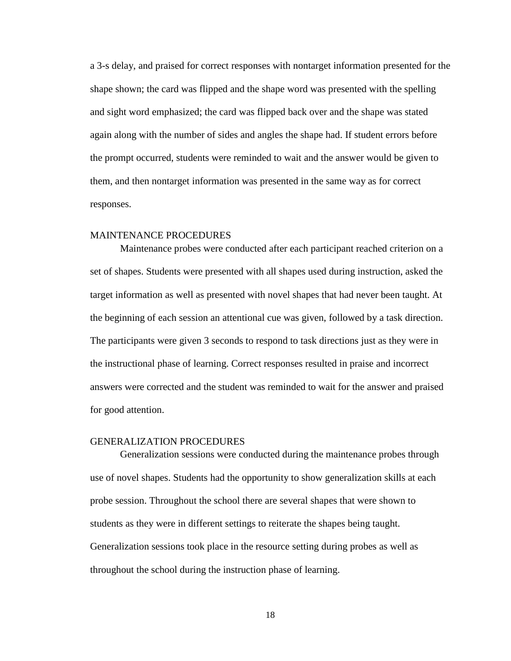a 3-s delay, and praised for correct responses with nontarget information presented for the shape shown; the card was flipped and the shape word was presented with the spelling and sight word emphasized; the card was flipped back over and the shape was stated again along with the number of sides and angles the shape had. If student errors before the prompt occurred, students were reminded to wait and the answer would be given to them, and then nontarget information was presented in the same way as for correct responses.

#### <span id="page-26-0"></span>MAINTENANCE PROCEDURES

Maintenance probes were conducted after each participant reached criterion on a set of shapes. Students were presented with all shapes used during instruction, asked the target information as well as presented with novel shapes that had never been taught. At the beginning of each session an attentional cue was given, followed by a task direction. The participants were given 3 seconds to respond to task directions just as they were in the instructional phase of learning. Correct responses resulted in praise and incorrect answers were corrected and the student was reminded to wait for the answer and praised for good attention.

#### <span id="page-26-1"></span>GENERALIZATION PROCEDURES

Generalization sessions were conducted during the maintenance probes through use of novel shapes. Students had the opportunity to show generalization skills at each probe session. Throughout the school there are several shapes that were shown to students as they were in different settings to reiterate the shapes being taught. Generalization sessions took place in the resource setting during probes as well as throughout the school during the instruction phase of learning.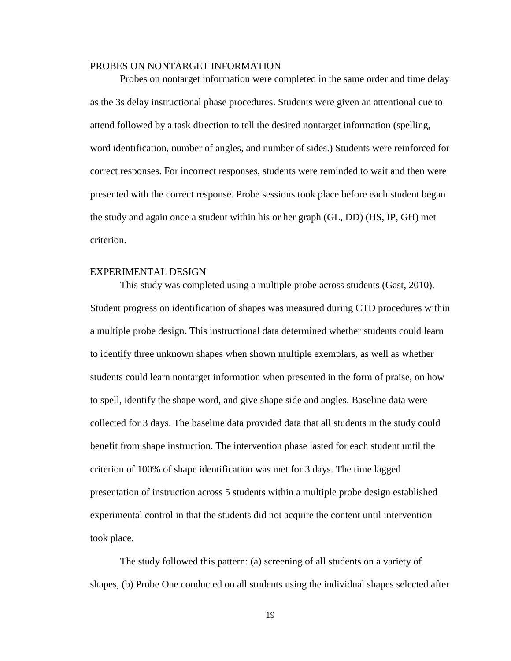#### <span id="page-27-0"></span>PROBES ON NONTARGET INFORMATION

Probes on nontarget information were completed in the same order and time delay as the 3s delay instructional phase procedures. Students were given an attentional cue to attend followed by a task direction to tell the desired nontarget information (spelling, word identification, number of angles, and number of sides.) Students were reinforced for correct responses. For incorrect responses, students were reminded to wait and then were presented with the correct response. Probe sessions took place before each student began the study and again once a student within his or her graph (GL, DD) (HS, IP, GH) met criterion.

#### <span id="page-27-1"></span>EXPERIMENTAL DESIGN

This study was completed using a multiple probe across students (Gast, 2010). Student progress on identification of shapes was measured during CTD procedures within a multiple probe design. This instructional data determined whether students could learn to identify three unknown shapes when shown multiple exemplars, as well as whether students could learn nontarget information when presented in the form of praise, on how to spell, identify the shape word, and give shape side and angles. Baseline data were collected for 3 days. The baseline data provided data that all students in the study could benefit from shape instruction. The intervention phase lasted for each student until the criterion of 100% of shape identification was met for 3 days. The time lagged presentation of instruction across 5 students within a multiple probe design established experimental control in that the students did not acquire the content until intervention took place.

The study followed this pattern: (a) screening of all students on a variety of shapes, (b) Probe One conducted on all students using the individual shapes selected after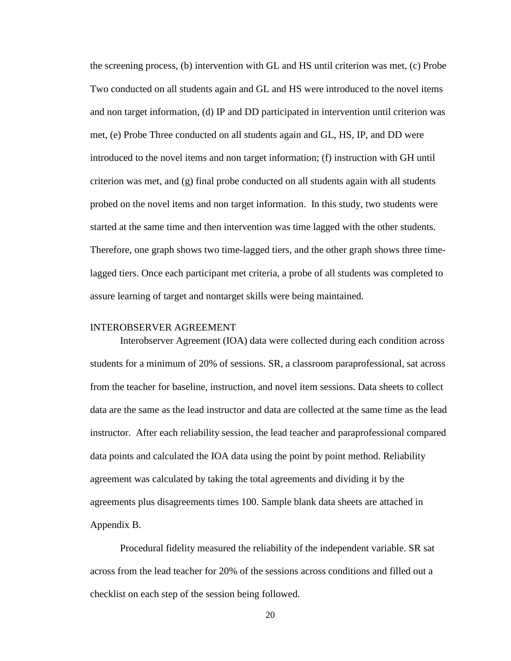the screening process, (b) intervention with GL and HS until criterion was met, (c) Probe Two conducted on all students again and GL and HS were introduced to the novel items and non target information, (d) IP and DD participated in intervention until criterion was met, (e) Probe Three conducted on all students again and GL, HS, IP, and DD were introduced to the novel items and non target information; (f) instruction with GH until criterion was met, and (g) final probe conducted on all students again with all students probed on the novel items and non target information. In this study, two students were started at the same time and then intervention was time lagged with the other students. Therefore, one graph shows two time-lagged tiers, and the other graph shows three timelagged tiers. Once each participant met criteria, a probe of all students was completed to assure learning of target and nontarget skills were being maintained.

#### <span id="page-28-0"></span>INTEROBSERVER AGREEMENT

Interobserver Agreement (IOA) data were collected during each condition across students for a minimum of 20% of sessions. SR, a classroom paraprofessional, sat across from the teacher for baseline, instruction, and novel item sessions. Data sheets to collect data are the same as the lead instructor and data are collected at the same time as the lead instructor. After each reliability session, the lead teacher and paraprofessional compared data points and calculated the IOA data using the point by point method. Reliability agreement was calculated by taking the total agreements and dividing it by the agreements plus disagreements times 100. Sample blank data sheets are attached in Appendix B.

Procedural fidelity measured the reliability of the independent variable. SR sat across from the lead teacher for 20% of the sessions across conditions and filled out a checklist on each step of the session being followed.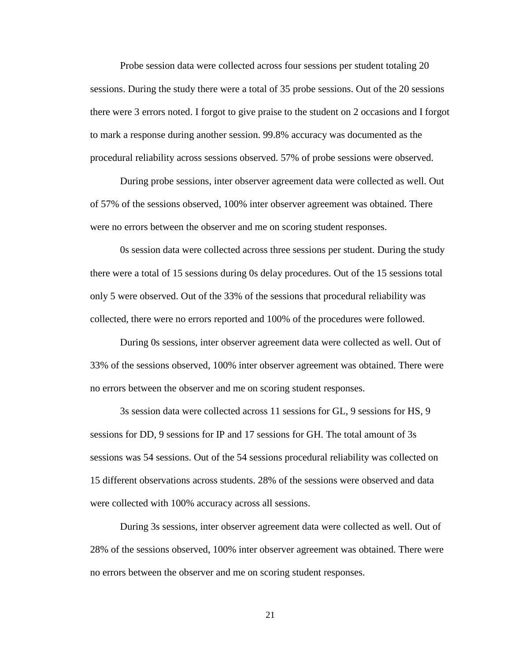Probe session data were collected across four sessions per student totaling 20 sessions. During the study there were a total of 35 probe sessions. Out of the 20 sessions there were 3 errors noted. I forgot to give praise to the student on 2 occasions and I forgot to mark a response during another session. 99.8% accuracy was documented as the procedural reliability across sessions observed. 57% of probe sessions were observed.

During probe sessions, inter observer agreement data were collected as well. Out of 57% of the sessions observed, 100% inter observer agreement was obtained. There were no errors between the observer and me on scoring student responses.

0s session data were collected across three sessions per student. During the study there were a total of 15 sessions during 0s delay procedures. Out of the 15 sessions total only 5 were observed. Out of the 33% of the sessions that procedural reliability was collected, there were no errors reported and 100% of the procedures were followed.

During 0s sessions, inter observer agreement data were collected as well. Out of 33% of the sessions observed, 100% inter observer agreement was obtained. There were no errors between the observer and me on scoring student responses.

3s session data were collected across 11 sessions for GL, 9 sessions for HS, 9 sessions for DD, 9 sessions for IP and 17 sessions for GH. The total amount of 3s sessions was 54 sessions. Out of the 54 sessions procedural reliability was collected on 15 different observations across students. 28% of the sessions were observed and data were collected with 100% accuracy across all sessions.

During 3s sessions, inter observer agreement data were collected as well. Out of 28% of the sessions observed, 100% inter observer agreement was obtained. There were no errors between the observer and me on scoring student responses.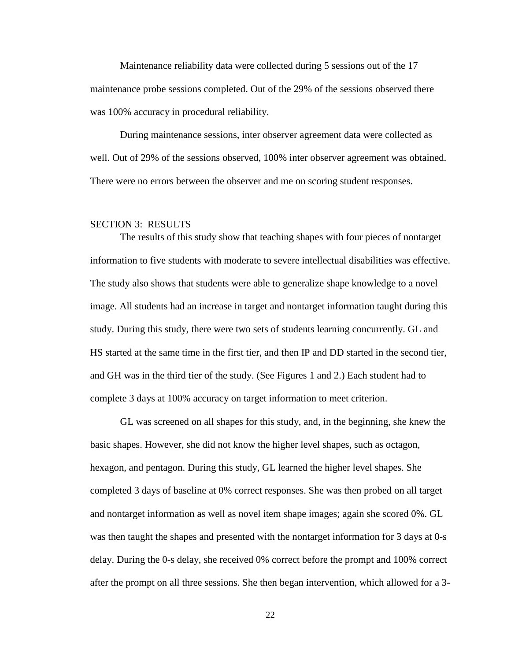Maintenance reliability data were collected during 5 sessions out of the 17 maintenance probe sessions completed. Out of the 29% of the sessions observed there was 100% accuracy in procedural reliability.

During maintenance sessions, inter observer agreement data were collected as well. Out of 29% of the sessions observed, 100% inter observer agreement was obtained. There were no errors between the observer and me on scoring student responses.

#### <span id="page-30-0"></span>SECTION 3: RESULTS

The results of this study show that teaching shapes with four pieces of nontarget information to five students with moderate to severe intellectual disabilities was effective. The study also shows that students were able to generalize shape knowledge to a novel image. All students had an increase in target and nontarget information taught during this study. During this study, there were two sets of students learning concurrently. GL and HS started at the same time in the first tier, and then IP and DD started in the second tier, and GH was in the third tier of the study. (See Figures 1 and 2.) Each student had to complete 3 days at 100% accuracy on target information to meet criterion.

<span id="page-30-1"></span>GL was screened on all shapes for this study, and, in the beginning, she knew the basic shapes. However, she did not know the higher level shapes, such as octagon, hexagon, and pentagon. During this study, GL learned the higher level shapes. She completed 3 days of baseline at 0% correct responses. She was then probed on all target and nontarget information as well as novel item shape images; again she scored 0%. GL was then taught the shapes and presented with the nontarget information for 3 days at 0-s delay. During the 0-s delay, she received 0% correct before the prompt and 100% correct after the prompt on all three sessions. She then began intervention, which allowed for a 3-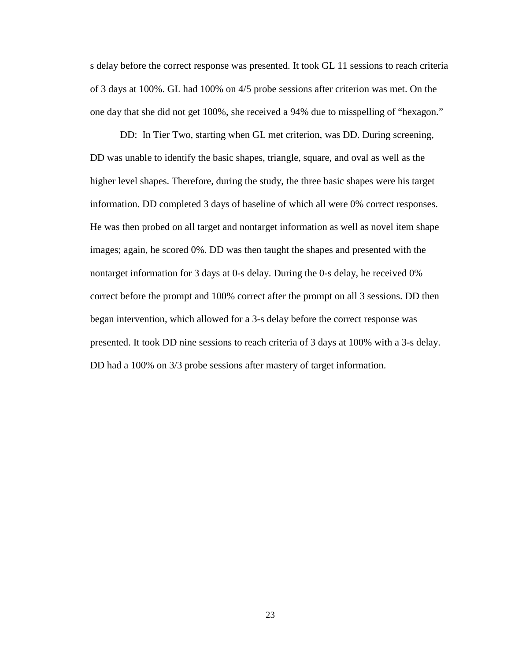s delay before the correct response was presented. It took GL 11 sessions to reach criteria of 3 days at 100%. GL had 100% on 4/5 probe sessions after criterion was met. On the one day that she did not get 100%, she received a 94% due to misspelling of "hexagon."

<span id="page-31-0"></span>DD: In Tier Two, starting when GL met criterion, was DD. During screening, DD was unable to identify the basic shapes, triangle, square, and oval as well as the higher level shapes. Therefore, during the study, the three basic shapes were his target information. DD completed 3 days of baseline of which all were 0% correct responses. He was then probed on all target and nontarget information as well as novel item shape images; again, he scored 0%. DD was then taught the shapes and presented with the nontarget information for 3 days at 0-s delay. During the 0-s delay, he received 0% correct before the prompt and 100% correct after the prompt on all 3 sessions. DD then began intervention, which allowed for a 3-s delay before the correct response was presented. It took DD nine sessions to reach criteria of 3 days at 100% with a 3-s delay. DD had a 100% on 3/3 probe sessions after mastery of target information.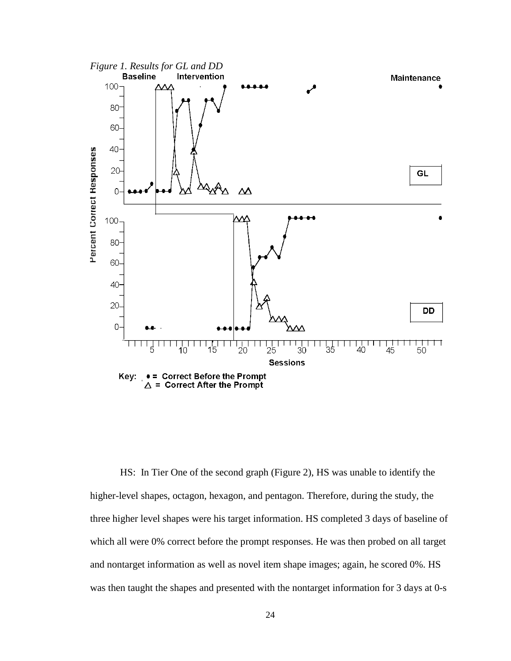<span id="page-32-1"></span>

<span id="page-32-0"></span>HS: In Tier One of the second graph (Figure 2), HS was unable to identify the higher-level shapes, octagon, hexagon, and pentagon. Therefore, during the study, the three higher level shapes were his target information. HS completed 3 days of baseline of which all were 0% correct before the prompt responses. He was then probed on all target and nontarget information as well as novel item shape images; again, he scored 0%. HS was then taught the shapes and presented with the nontarget information for 3 days at 0-s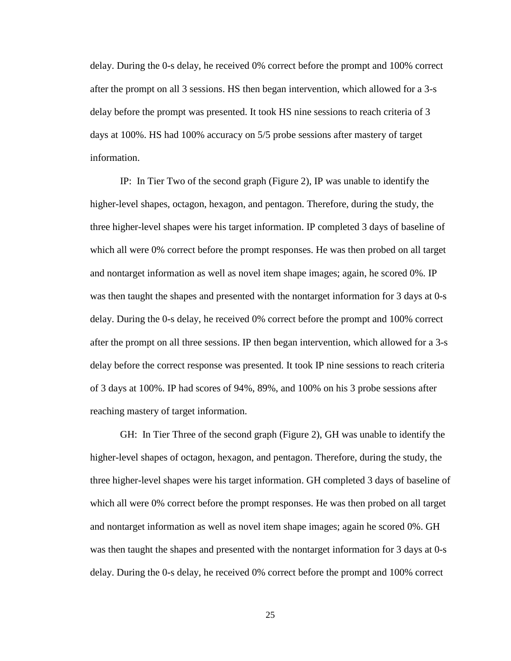delay. During the 0-s delay, he received 0% correct before the prompt and 100% correct after the prompt on all 3 sessions. HS then began intervention, which allowed for a 3-s delay before the prompt was presented. It took HS nine sessions to reach criteria of 3 days at 100%. HS had 100% accuracy on 5/5 probe sessions after mastery of target information.

<span id="page-33-0"></span>IP: In Tier Two of the second graph (Figure 2), IP was unable to identify the higher-level shapes, octagon, hexagon, and pentagon. Therefore, during the study, the three higher-level shapes were his target information. IP completed 3 days of baseline of which all were 0% correct before the prompt responses. He was then probed on all target and nontarget information as well as novel item shape images; again, he scored 0%. IP was then taught the shapes and presented with the nontarget information for 3 days at 0-s delay. During the 0-s delay, he received 0% correct before the prompt and 100% correct after the prompt on all three sessions. IP then began intervention, which allowed for a 3-s delay before the correct response was presented. It took IP nine sessions to reach criteria of 3 days at 100%. IP had scores of 94%, 89%, and 100% on his 3 probe sessions after reaching mastery of target information.

<span id="page-33-1"></span>GH: In Tier Three of the second graph (Figure 2), GH was unable to identify the higher-level shapes of octagon, hexagon, and pentagon. Therefore, during the study, the three higher-level shapes were his target information. GH completed 3 days of baseline of which all were 0% correct before the prompt responses. He was then probed on all target and nontarget information as well as novel item shape images; again he scored 0%. GH was then taught the shapes and presented with the nontarget information for 3 days at 0-s delay. During the 0-s delay, he received 0% correct before the prompt and 100% correct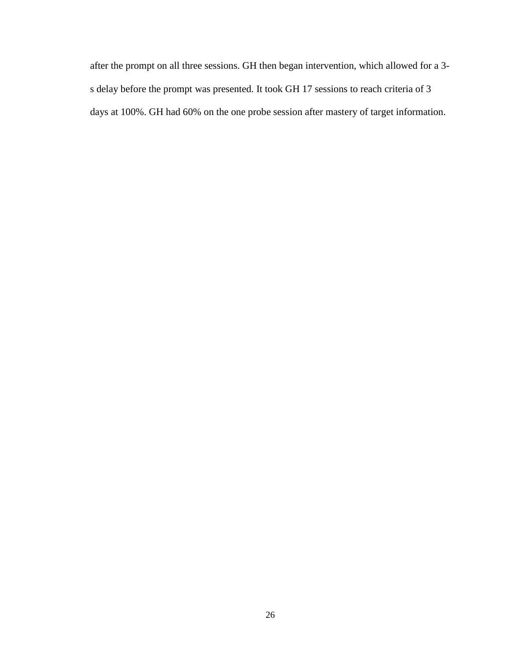after the prompt on all three sessions. GH then began intervention, which allowed for a 3 s delay before the prompt was presented. It took GH 17 sessions to reach criteria of 3 days at 100%. GH had 60% on the one probe session after mastery of target information.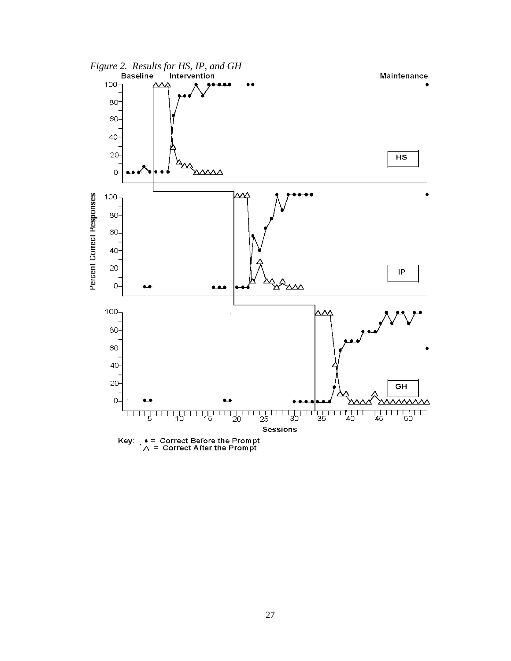<span id="page-35-0"></span>

27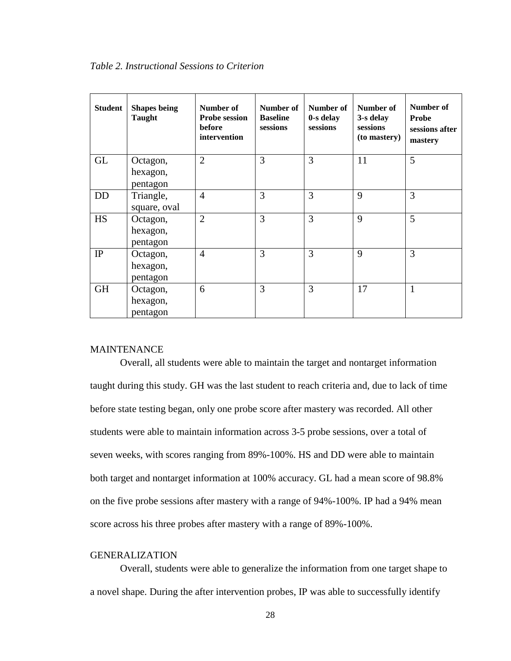<span id="page-36-2"></span>

| <b>Student</b> | <b>Shapes being</b><br><b>Taught</b> | Number of<br><b>Probe session</b><br>before<br>intervention | Number of<br><b>Baseline</b><br>sessions | Number of<br>0-s delay<br>sessions | Number of<br>3-s delay<br>sessions<br>(to mastery) | Number of<br>Probe<br>sessions after<br>mastery |
|----------------|--------------------------------------|-------------------------------------------------------------|------------------------------------------|------------------------------------|----------------------------------------------------|-------------------------------------------------|
| <b>GL</b>      | Octagon,<br>hexagon,<br>pentagon     | $\overline{2}$                                              | 3                                        | $\overline{3}$                     | 11                                                 | 5                                               |
| <b>DD</b>      | Triangle,<br>square, oval            | $\overline{4}$                                              | 3                                        | 3                                  | 9                                                  | 3                                               |
| <b>HS</b>      | Octagon,<br>hexagon,<br>pentagon     | $\overline{2}$                                              | 3                                        | 3                                  | 9                                                  | 5                                               |
| IP             | Octagon,<br>hexagon,<br>pentagon     | $\overline{4}$                                              | 3                                        | 3                                  | 9                                                  | 3                                               |
| <b>GH</b>      | Octagon,<br>hexagon,<br>pentagon     | 6                                                           | 3                                        | 3                                  | 17                                                 |                                                 |

#### <span id="page-36-0"></span>**MAINTENANCE**

Overall, all students were able to maintain the target and nontarget information taught during this study. GH was the last student to reach criteria and, due to lack of time before state testing began, only one probe score after mastery was recorded. All other students were able to maintain information across 3-5 probe sessions, over a total of seven weeks, with scores ranging from 89%-100%. HS and DD were able to maintain both target and nontarget information at 100% accuracy. GL had a mean score of 98.8% on the five probe sessions after mastery with a range of 94%-100%. IP had a 94% mean score across his three probes after mastery with a range of 89%-100%.

#### <span id="page-36-1"></span>GENERALIZATION

Overall, students were able to generalize the information from one target shape to a novel shape. During the after intervention probes, IP was able to successfully identify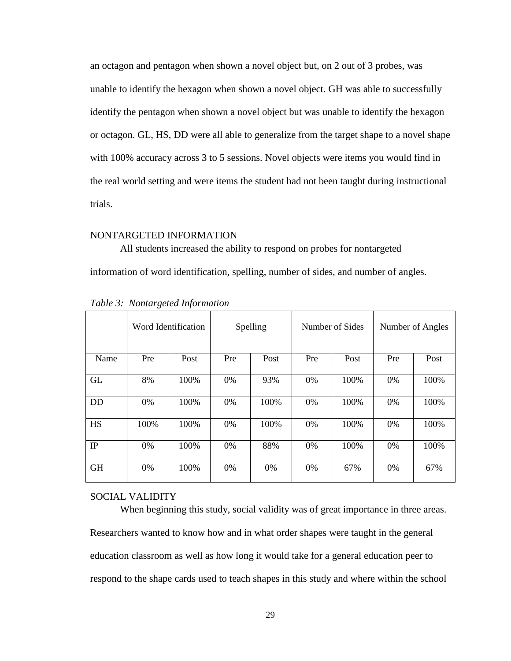an octagon and pentagon when shown a novel object but, on 2 out of 3 probes, was unable to identify the hexagon when shown a novel object. GH was able to successfully identify the pentagon when shown a novel object but was unable to identify the hexagon or octagon. GL, HS, DD were all able to generalize from the target shape to a novel shape with 100% accuracy across 3 to 5 sessions. Novel objects were items you would find in the real world setting and were items the student had not been taught during instructional trials.

#### <span id="page-37-0"></span>NONTARGETED INFORMATION

All students increased the ability to respond on probes for nontargeted information of word identification, spelling, number of sides, and number of angles.

|           |      | Word Identification |     | Spelling | Number of Sides |      | Number of Angles |      |  |
|-----------|------|---------------------|-----|----------|-----------------|------|------------------|------|--|
| Name      | Pre  | Post                | Pre | Post     | Pre             | Post | Pre              | Post |  |
| <b>GL</b> | 8%   | 100%                | 0%  | 93%      | 0%              | 100% | 0%               | 100% |  |
| <b>DD</b> | 0%   | 100%                | 0%  | 100%     | $0\%$           | 100% | $0\%$            | 100% |  |
| <b>HS</b> | 100% | 100%                | 0%  | 100%     | 0%              | 100% | 0%               | 100% |  |
| IP        | 0%   | 100%                | 0%  | 88%      | 0%              | 100% | 0%               | 100% |  |
| <b>GH</b> | 0%   | 100%                | 0%  | 0%       | 0%              | 67%  | 0%               | 67%  |  |

<span id="page-37-2"></span>*Table 3: Nontargeted Information*

#### <span id="page-37-1"></span>SOCIAL VALIDITY

When beginning this study, social validity was of great importance in three areas. Researchers wanted to know how and in what order shapes were taught in the general education classroom as well as how long it would take for a general education peer to respond to the shape cards used to teach shapes in this study and where within the school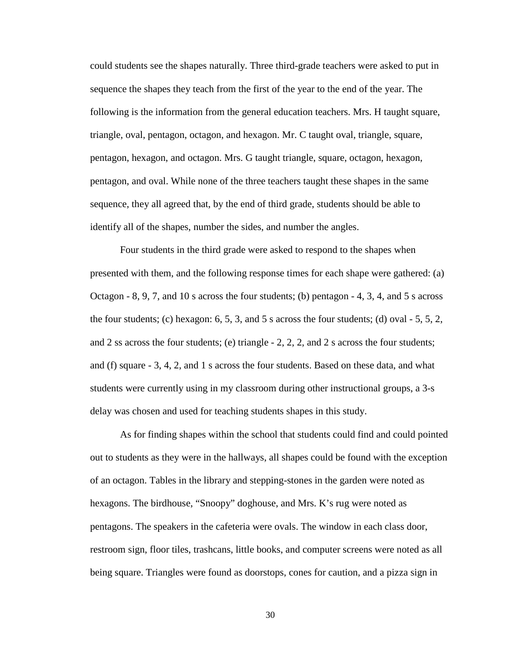could students see the shapes naturally. Three third-grade teachers were asked to put in sequence the shapes they teach from the first of the year to the end of the year. The following is the information from the general education teachers. Mrs. H taught square, triangle, oval, pentagon, octagon, and hexagon. Mr. C taught oval, triangle, square, pentagon, hexagon, and octagon. Mrs. G taught triangle, square, octagon, hexagon, pentagon, and oval. While none of the three teachers taught these shapes in the same sequence, they all agreed that, by the end of third grade, students should be able to identify all of the shapes, number the sides, and number the angles.

Four students in the third grade were asked to respond to the shapes when presented with them, and the following response times for each shape were gathered: (a) Octagon - 8, 9, 7, and 10 s across the four students; (b) pentagon - 4, 3, 4, and 5 s across the four students; (c) hexagon:  $6, 5, 3$ , and  $5$  s across the four students; (d) oval  $-5, 5, 2$ , and 2 ss across the four students; (e) triangle - 2, 2, 2, and 2 s across the four students; and (f) square - 3, 4, 2, and 1 s across the four students. Based on these data, and what students were currently using in my classroom during other instructional groups, a 3-s delay was chosen and used for teaching students shapes in this study.

As for finding shapes within the school that students could find and could pointed out to students as they were in the hallways, all shapes could be found with the exception of an octagon. Tables in the library and stepping-stones in the garden were noted as hexagons. The birdhouse, "Snoopy" doghouse, and Mrs. K's rug were noted as pentagons. The speakers in the cafeteria were ovals. The window in each class door, restroom sign, floor tiles, trashcans, little books, and computer screens were noted as all being square. Triangles were found as doorstops, cones for caution, and a pizza sign in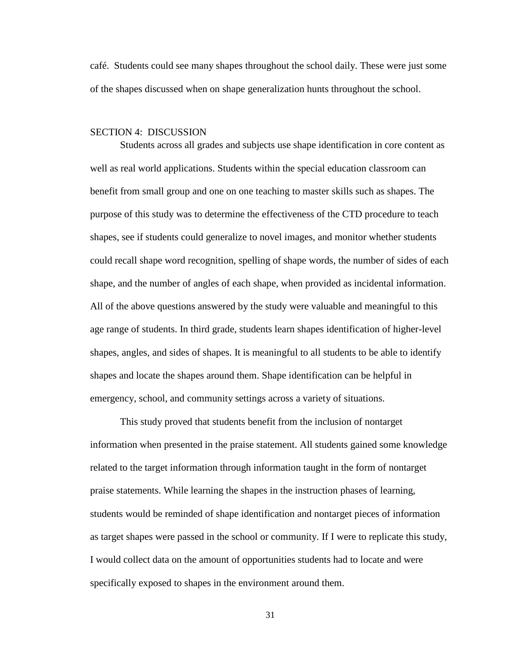café. Students could see many shapes throughout the school daily. These were just some of the shapes discussed when on shape generalization hunts throughout the school.

#### <span id="page-39-0"></span>SECTION 4: DISCUSSION

Students across all grades and subjects use shape identification in core content as well as real world applications. Students within the special education classroom can benefit from small group and one on one teaching to master skills such as shapes. The purpose of this study was to determine the effectiveness of the CTD procedure to teach shapes, see if students could generalize to novel images, and monitor whether students could recall shape word recognition, spelling of shape words, the number of sides of each shape, and the number of angles of each shape, when provided as incidental information. All of the above questions answered by the study were valuable and meaningful to this age range of students. In third grade, students learn shapes identification of higher-level shapes, angles, and sides of shapes. It is meaningful to all students to be able to identify shapes and locate the shapes around them. Shape identification can be helpful in emergency, school, and community settings across a variety of situations.

This study proved that students benefit from the inclusion of nontarget information when presented in the praise statement. All students gained some knowledge related to the target information through information taught in the form of nontarget praise statements. While learning the shapes in the instruction phases of learning, students would be reminded of shape identification and nontarget pieces of information as target shapes were passed in the school or community. If I were to replicate this study, I would collect data on the amount of opportunities students had to locate and were specifically exposed to shapes in the environment around them.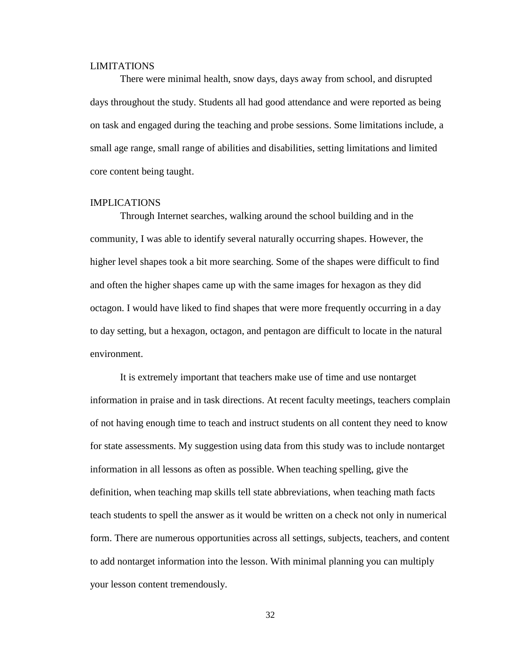#### <span id="page-40-0"></span>LIMITATIONS

There were minimal health, snow days, days away from school, and disrupted days throughout the study. Students all had good attendance and were reported as being on task and engaged during the teaching and probe sessions. Some limitations include, a small age range, small range of abilities and disabilities, setting limitations and limited core content being taught.

#### <span id="page-40-1"></span>IMPLICATIONS

Through Internet searches, walking around the school building and in the community, I was able to identify several naturally occurring shapes. However, the higher level shapes took a bit more searching. Some of the shapes were difficult to find and often the higher shapes came up with the same images for hexagon as they did octagon. I would have liked to find shapes that were more frequently occurring in a day to day setting, but a hexagon, octagon, and pentagon are difficult to locate in the natural environment.

It is extremely important that teachers make use of time and use nontarget information in praise and in task directions. At recent faculty meetings, teachers complain of not having enough time to teach and instruct students on all content they need to know for state assessments. My suggestion using data from this study was to include nontarget information in all lessons as often as possible. When teaching spelling, give the definition, when teaching map skills tell state abbreviations, when teaching math facts teach students to spell the answer as it would be written on a check not only in numerical form. There are numerous opportunities across all settings, subjects, teachers, and content to add nontarget information into the lesson. With minimal planning you can multiply your lesson content tremendously.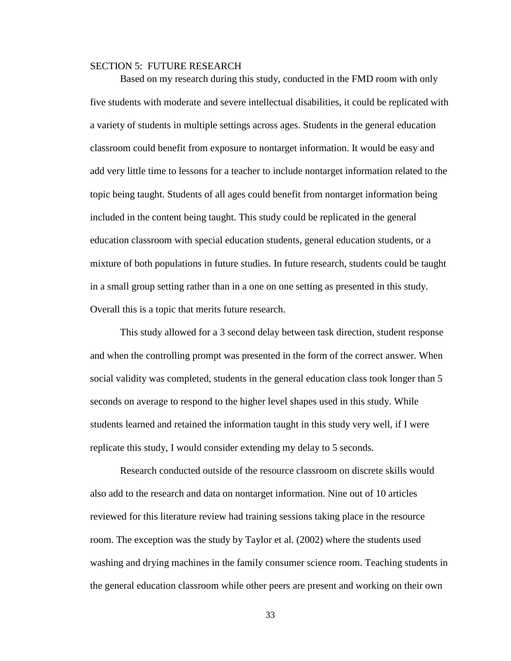#### <span id="page-41-0"></span>SECTION 5: FUTURE RESEARCH

Based on my research during this study, conducted in the FMD room with only five students with moderate and severe intellectual disabilities, it could be replicated with a variety of students in multiple settings across ages. Students in the general education classroom could benefit from exposure to nontarget information. It would be easy and add very little time to lessons for a teacher to include nontarget information related to the topic being taught. Students of all ages could benefit from nontarget information being included in the content being taught. This study could be replicated in the general education classroom with special education students, general education students, or a mixture of both populations in future studies. In future research, students could be taught in a small group setting rather than in a one on one setting as presented in this study. Overall this is a topic that merits future research.

This study allowed for a 3 second delay between task direction, student response and when the controlling prompt was presented in the form of the correct answer. When social validity was completed, students in the general education class took longer than 5 seconds on average to respond to the higher level shapes used in this study. While students learned and retained the information taught in this study very well, if I were replicate this study, I would consider extending my delay to 5 seconds.

Research conducted outside of the resource classroom on discrete skills would also add to the research and data on nontarget information. Nine out of 10 articles reviewed for this literature review had training sessions taking place in the resource room. The exception was the study by Taylor et al. (2002) where the students used washing and drying machines in the family consumer science room. Teaching students in the general education classroom while other peers are present and working on their own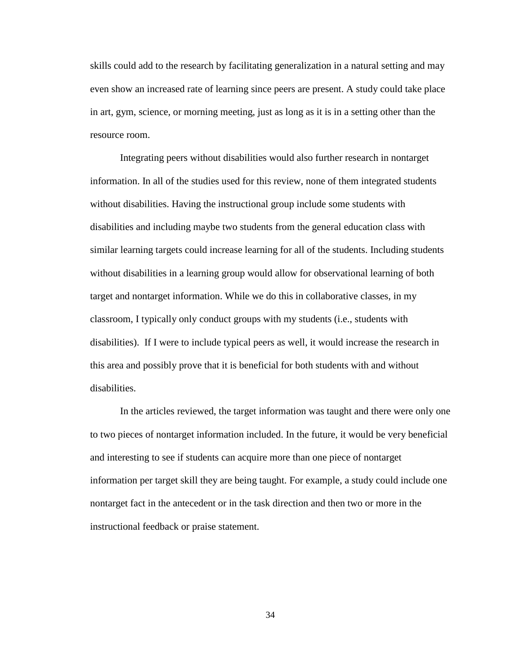skills could add to the research by facilitating generalization in a natural setting and may even show an increased rate of learning since peers are present. A study could take place in art, gym, science, or morning meeting, just as long as it is in a setting other than the resource room.

Integrating peers without disabilities would also further research in nontarget information. In all of the studies used for this review, none of them integrated students without disabilities. Having the instructional group include some students with disabilities and including maybe two students from the general education class with similar learning targets could increase learning for all of the students. Including students without disabilities in a learning group would allow for observational learning of both target and nontarget information. While we do this in collaborative classes, in my classroom, I typically only conduct groups with my students (i.e., students with disabilities). If I were to include typical peers as well, it would increase the research in this area and possibly prove that it is beneficial for both students with and without disabilities.

In the articles reviewed, the target information was taught and there were only one to two pieces of nontarget information included. In the future, it would be very beneficial and interesting to see if students can acquire more than one piece of nontarget information per target skill they are being taught. For example, a study could include one nontarget fact in the antecedent or in the task direction and then two or more in the instructional feedback or praise statement.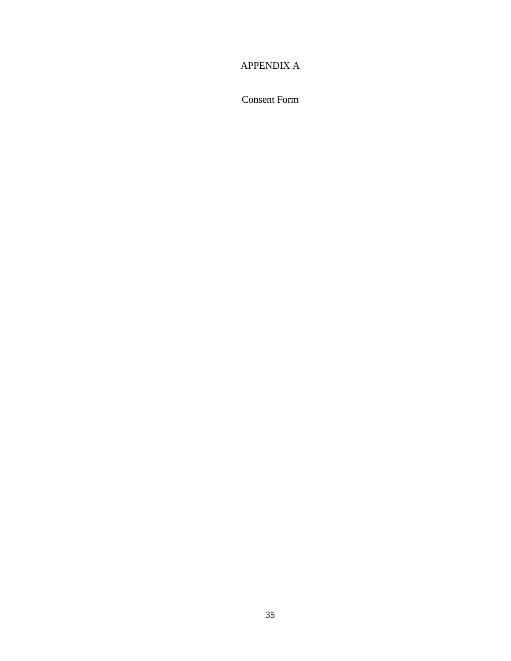# <span id="page-43-0"></span>APPENDIX A

Consent Form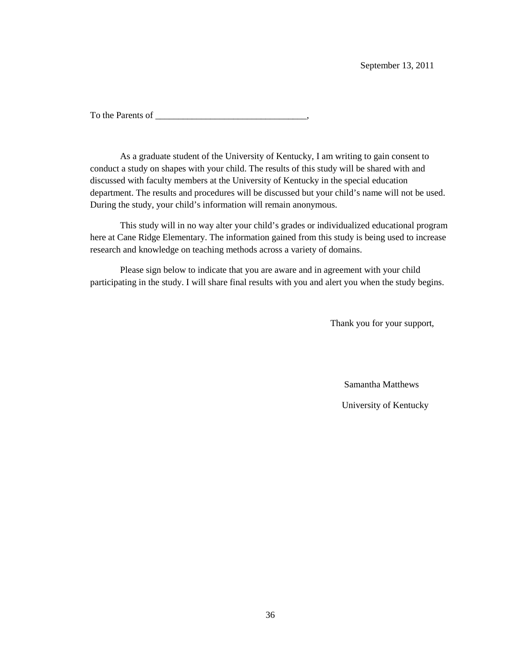To the Parents of \_\_\_\_\_\_\_\_\_\_\_\_\_\_\_\_\_\_\_\_\_\_\_\_\_\_\_\_\_\_\_\_\_,

As a graduate student of the University of Kentucky, I am writing to gain consent to conduct a study on shapes with your child. The results of this study will be shared with and discussed with faculty members at the University of Kentucky in the special education department. The results and procedures will be discussed but your child's name will not be used. During the study, your child's information will remain anonymous.

This study will in no way alter your child's grades or individualized educational program here at Cane Ridge Elementary. The information gained from this study is being used to increase research and knowledge on teaching methods across a variety of domains.

Please sign below to indicate that you are aware and in agreement with your child participating in the study. I will share final results with you and alert you when the study begins.

Thank you for your support,

Samantha Matthews

University of Kentucky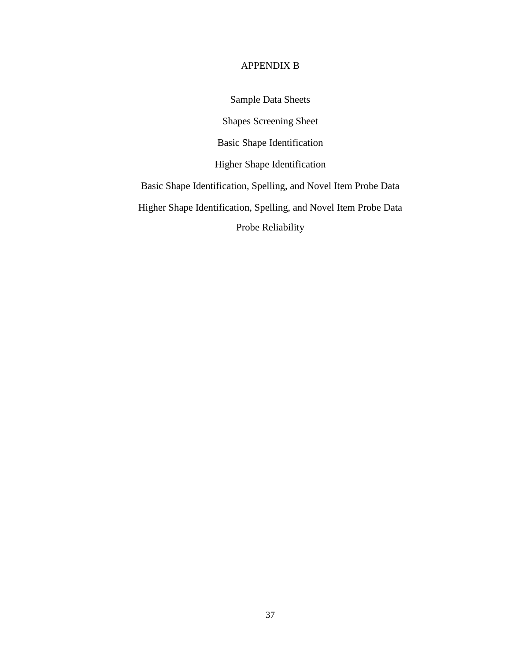#### APPENDIX B

Sample Data Sheets

Shapes Screening Sheet

Basic Shape Identification

Higher Shape Identification

<span id="page-45-0"></span>Basic Shape Identification, Spelling, and Novel Item Probe Data

Higher Shape Identification, Spelling, and Novel Item Probe Data

Probe Reliability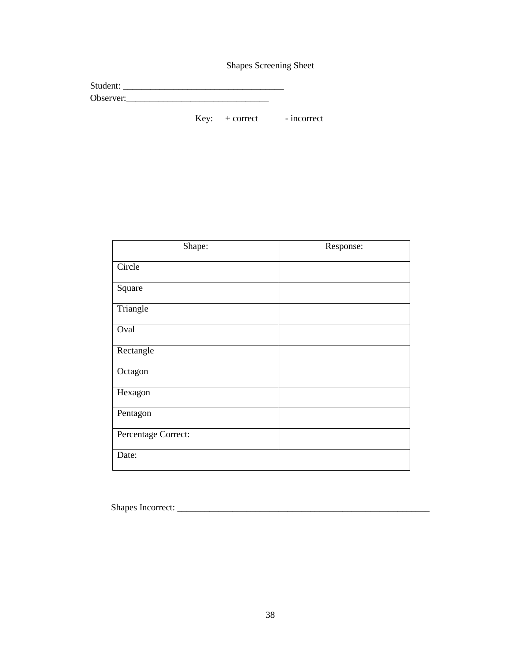Shapes Screening Sheet

| Student:  |  |  |  |
|-----------|--|--|--|
| Observer: |  |  |  |

Key: + correct - incorrect

| Shape:              | Response: |
|---------------------|-----------|
| Circle              |           |
| Square              |           |
| Triangle            |           |
| Oval                |           |
| Rectangle           |           |
| Octagon             |           |
| Hexagon             |           |
| Pentagon            |           |
| Percentage Correct: |           |
| Date:               |           |

Shapes Incorrect: \_\_\_\_\_\_\_\_\_\_\_\_\_\_\_\_\_\_\_\_\_\_\_\_\_\_\_\_\_\_\_\_\_\_\_\_\_\_\_\_\_\_\_\_\_\_\_\_\_\_\_\_\_\_\_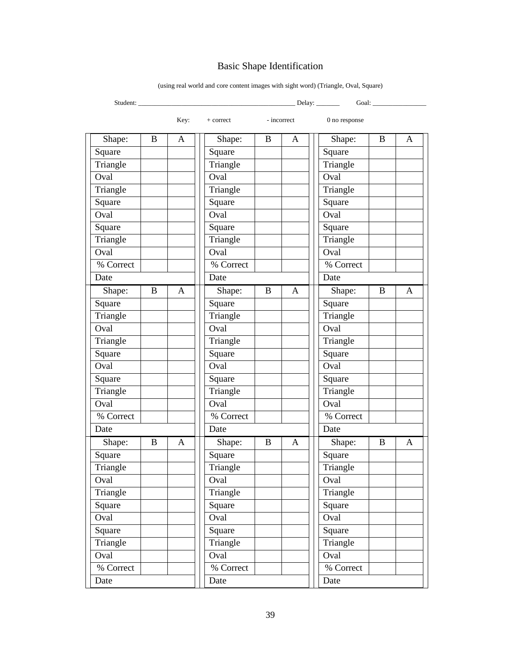# Basic Shape Identification

| Student:  |             |              |           |             |   | _ Delay: ______ | Goal:    |   |
|-----------|-------------|--------------|-----------|-------------|---|-----------------|----------|---|
|           |             | Key:         | + correct | - incorrect |   | 0 no response   |          |   |
| Shape:    | B           | A            | Shape:    | B           | A | Shape:          | $\bf{B}$ | A |
| Square    |             |              | Square    |             |   | Square          |          |   |
| Triangle  |             |              | Triangle  |             |   | Triangle        |          |   |
| Oval      |             |              | Oval      |             |   | Oval            |          |   |
| Triangle  |             |              | Triangle  |             |   | Triangle        |          |   |
| Square    |             |              | Square    |             |   | Square          |          |   |
| Oval      |             |              | Oval      |             |   | Oval            |          |   |
| Square    |             |              | Square    |             |   | Square          |          |   |
| Triangle  |             |              | Triangle  |             |   | Triangle        |          |   |
| Oval      |             |              | Oval      |             |   | Oval            |          |   |
| % Correct |             |              | % Correct |             |   | % Correct       |          |   |
| Date      |             |              | Date      |             |   | Date            |          |   |
| Shape:    | $\mathbf B$ | A            | Shape:    | B           | A | Shape:          | $\bf{B}$ | A |
| Square    |             |              | Square    |             |   | Square          |          |   |
| Triangle  |             |              | Triangle  |             |   | Triangle        |          |   |
| Oval      |             |              | Oval      |             |   | Oval            |          |   |
| Triangle  |             |              | Triangle  |             |   | Triangle        |          |   |
| Square    |             |              | Square    |             |   | Square          |          |   |
| Oval      |             |              | Oval      |             |   | Oval            |          |   |
| Square    |             |              | Square    |             |   | Square          |          |   |
| Triangle  |             |              | Triangle  |             |   | Triangle        |          |   |
| Oval      |             |              | Oval      |             |   | Oval            |          |   |
| % Correct |             |              | % Correct |             |   | % Correct       |          |   |
| Date      |             |              | Date      |             |   | Date            |          |   |
| Shape:    | B           | $\mathbf{A}$ | Shape:    | B           | A | Shape:          | B        | A |
| Square    |             |              | Square    |             |   | Square          |          |   |
| Triangle  |             |              | Triangle  |             |   | Triangle        |          |   |
| Oval      |             |              | Oval      |             |   | Oval            |          |   |
| Triangle  |             |              | Triangle  |             |   | Triangle        |          |   |
| Square    |             |              | Square    |             |   | Square          |          |   |
| Oval      |             |              | Oval      |             |   | Oval            |          |   |
| Square    |             |              | Square    |             |   | Square          |          |   |
| Triangle  |             |              | Triangle  |             |   | Triangle        |          |   |
| Oval      |             |              | Oval      |             |   | Oval            |          |   |
| % Correct |             |              | % Correct |             |   | % Correct       |          |   |
| Date      |             |              | Date      |             |   | Date            |          |   |

(using real world and core content images with sight word) (Triangle, Oval, Square)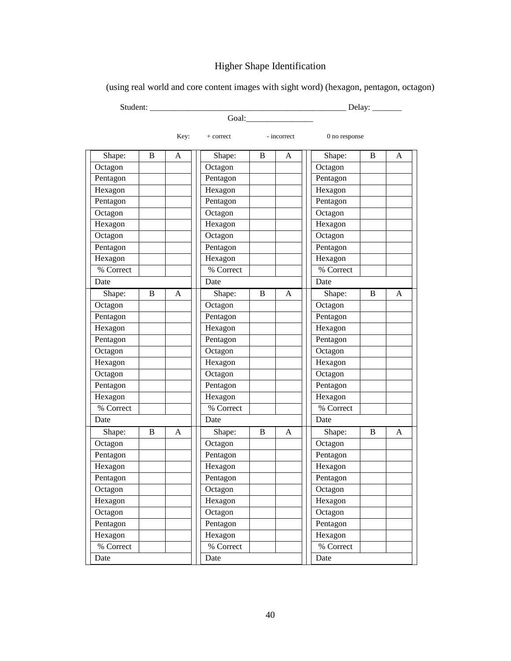# Higher Shape Identification

| Student:  |   |      |           |   |             |               | Delay: $\_\_$ |   |
|-----------|---|------|-----------|---|-------------|---------------|---------------|---|
|           |   |      | Goal:     |   |             |               |               |   |
|           |   | Key: | + correct |   | - incorrect | 0 no response |               |   |
| Shape:    | B | A    | Shape:    | B | A           | Shape:        | B             | A |
| Octagon   |   |      | Octagon   |   |             | Octagon       |               |   |
| Pentagon  |   |      | Pentagon  |   |             | Pentagon      |               |   |
| Hexagon   |   |      | Hexagon   |   |             | Hexagon       |               |   |
| Pentagon  |   |      | Pentagon  |   |             | Pentagon      |               |   |
| Octagon   |   |      | Octagon   |   |             | Octagon       |               |   |
| Hexagon   |   |      | Hexagon   |   |             | Hexagon       |               |   |
| Octagon   |   |      | Octagon   |   |             | Octagon       |               |   |
| Pentagon  |   |      | Pentagon  |   |             | Pentagon      |               |   |
| Hexagon   |   |      | Hexagon   |   |             | Hexagon       |               |   |
| % Correct |   |      | % Correct |   |             | % Correct     |               |   |
| Date      |   |      | Date      |   |             | Date          |               |   |
| Shape:    | B | A    | Shape:    | B | A           | Shape:        | B             | A |
| Octagon   |   |      | Octagon   |   |             | Octagon       |               |   |
| Pentagon  |   |      | Pentagon  |   |             | Pentagon      |               |   |
| Hexagon   |   |      | Hexagon   |   |             | Hexagon       |               |   |
| Pentagon  |   |      | Pentagon  |   |             | Pentagon      |               |   |
| Octagon   |   |      | Octagon   |   |             | Octagon       |               |   |
| Hexagon   |   |      | Hexagon   |   |             | Hexagon       |               |   |
| Octagon   |   |      | Octagon   |   |             | Octagon       |               |   |
| Pentagon  |   |      | Pentagon  |   |             | Pentagon      |               |   |
| Hexagon   |   |      | Hexagon   |   |             | Hexagon       |               |   |
| % Correct |   |      | % Correct |   |             | % Correct     |               |   |
| Date      |   |      | Date      |   |             | Date          |               |   |
| Shape:    | B | A    | Shape:    | B | A           | Shape:        | B             | A |
| Octagon   |   |      | Octagon   |   |             | Octagon       |               |   |
| Pentagon  |   |      | Pentagon  |   |             | Pentagon      |               |   |
| Hexagon   |   |      | Hexagon   |   |             | Hexagon       |               |   |
| Pentagon  |   |      | Pentagon  |   |             | Pentagon      |               |   |
| Octagon   |   |      | Octagon   |   |             | Octagon       |               |   |
| Hexagon   |   |      | Hexagon   |   |             | Hexagon       |               |   |
| Octagon   |   |      | Octagon   |   |             | Octagon       |               |   |
| Pentagon  |   |      | Pentagon  |   |             | Pentagon      |               |   |
| Hexagon   |   |      | Hexagon   |   |             | Hexagon       |               |   |
| % Correct |   |      | % Correct |   |             | % Correct     |               |   |
| Date      |   |      | Date      |   |             | Date          |               |   |

(using real world and core content images with sight word) (hexagon, pentagon, octagon)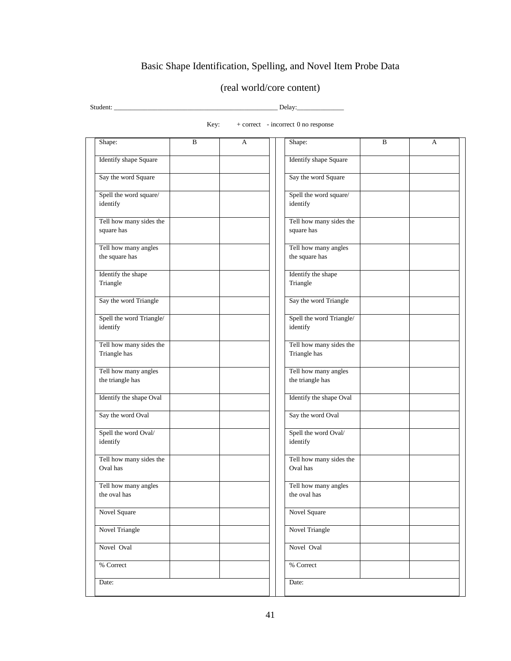# Basic Shape Identification, Spelling, and Novel Item Probe Data

### (real world/core content)

Student: \_\_\_\_\_\_\_\_\_\_\_\_\_\_\_\_\_\_\_\_\_\_\_\_\_\_\_\_\_\_\_\_\_\_\_\_\_\_\_\_\_\_\_\_\_\_\_\_\_ Delay:\_\_\_\_\_\_\_\_\_\_\_\_\_\_

Key:  $+$  correct - incorrect 0 no response

| Shape:                       | B | A | Shape:                   | B | А |
|------------------------------|---|---|--------------------------|---|---|
| <b>Identify shape Square</b> |   |   | Identify shape Square    |   |   |
| Say the word Square          |   |   | Say the word Square      |   |   |
| Spell the word square/       |   |   | Spell the word square/   |   |   |
| identify                     |   |   | identify                 |   |   |
| Tell how many sides the      |   |   | Tell how many sides the  |   |   |
| square has                   |   |   | square has               |   |   |
| Tell how many angles         |   |   | Tell how many angles     |   |   |
| the square has               |   |   | the square has           |   |   |
| Identify the shape           |   |   | Identify the shape       |   |   |
| Triangle                     |   |   | Triangle                 |   |   |
| Say the word Triangle        |   |   | Say the word Triangle    |   |   |
| Spell the word Triangle/     |   |   | Spell the word Triangle/ |   |   |
| identify                     |   |   | identify                 |   |   |
| Tell how many sides the      |   |   | Tell how many sides the  |   |   |
| Triangle has                 |   |   | Triangle has             |   |   |
| Tell how many angles         |   |   | Tell how many angles     |   |   |
| the triangle has             |   |   | the triangle has         |   |   |
| Identify the shape Oval      |   |   | Identify the shape Oval  |   |   |
| Say the word Oval            |   |   | Say the word Oval        |   |   |
| Spell the word Oval/         |   |   | Spell the word Oval/     |   |   |
| identify                     |   |   | identify                 |   |   |
| Tell how many sides the      |   |   | Tell how many sides the  |   |   |
| Oval has                     |   |   | Oval has                 |   |   |
| Tell how many angles         |   |   | Tell how many angles     |   |   |
| the oval has                 |   |   | the oval has             |   |   |
| Novel Square                 |   |   | Novel Square             |   |   |
| <b>Novel Triangle</b>        |   |   | Novel Triangle           |   |   |
| Novel Oval                   |   |   | Novel Oval               |   |   |
| % Correct                    |   |   | % Correct                |   |   |
| Date:                        |   |   | Date:                    |   |   |
|                              |   |   |                          |   |   |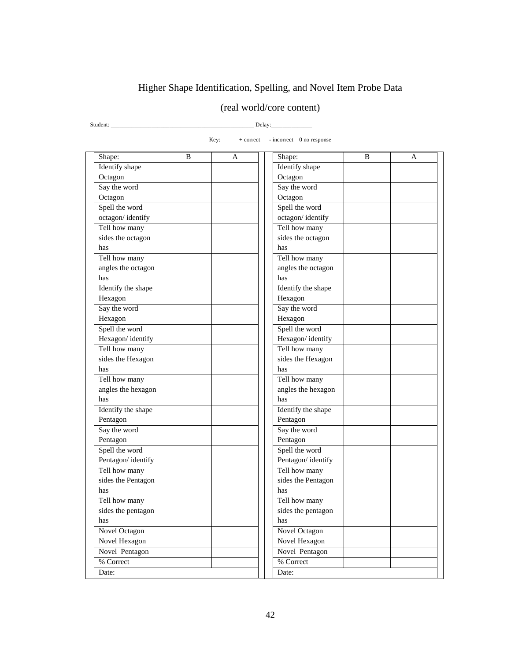# Higher Shape Identification, Spelling, and Novel Item Probe Data

# (real world/core content)

Student: \_\_\_\_\_\_\_\_\_\_\_\_\_\_\_\_\_\_\_\_\_\_\_\_\_\_\_\_\_\_\_\_\_\_\_\_\_\_\_\_\_\_\_\_\_\_\_\_\_ Delay:\_\_\_\_\_\_\_\_\_\_\_\_\_\_

| Key:<br>- incorrect 0 no response<br>$+$ correct |   |   |                    |   |   |  |
|--------------------------------------------------|---|---|--------------------|---|---|--|
| Shape:                                           | B | A | Shape:             | B | A |  |
| Identify shape                                   |   |   | Identify shape     |   |   |  |
| Octagon                                          |   |   | Octagon            |   |   |  |
| Say the word                                     |   |   | Say the word       |   |   |  |
| Octagon                                          |   |   | Octagon            |   |   |  |
| Spell the word                                   |   |   | Spell the word     |   |   |  |
| octagon/identify                                 |   |   | octagon/identify   |   |   |  |
| Tell how many                                    |   |   | Tell how many      |   |   |  |
| sides the octagon                                |   |   | sides the octagon  |   |   |  |
| has                                              |   |   | has                |   |   |  |
| Tell how many                                    |   |   | Tell how many      |   |   |  |
| angles the octagon                               |   |   | angles the octagon |   |   |  |
| has                                              |   |   | has                |   |   |  |
| Identify the shape                               |   |   | Identify the shape |   |   |  |
| Hexagon                                          |   |   | Hexagon            |   |   |  |
| Say the word                                     |   |   | Say the word       |   |   |  |
| Hexagon                                          |   |   | Hexagon            |   |   |  |
| Spell the word                                   |   |   | Spell the word     |   |   |  |
| Hexagon/identify                                 |   |   | Hexagon/identify   |   |   |  |
| Tell how many                                    |   |   | Tell how many      |   |   |  |
| sides the Hexagon                                |   |   | sides the Hexagon  |   |   |  |
| has                                              |   |   | has                |   |   |  |
| Tell how many                                    |   |   | Tell how many      |   |   |  |
| angles the hexagon                               |   |   | angles the hexagon |   |   |  |
| has                                              |   |   | has                |   |   |  |
| Identify the shape                               |   |   | Identify the shape |   |   |  |
| Pentagon                                         |   |   | Pentagon           |   |   |  |
| Say the word                                     |   |   | Say the word       |   |   |  |
| Pentagon                                         |   |   | Pentagon           |   |   |  |
| Spell the word                                   |   |   | Spell the word     |   |   |  |
| Pentagon/identify                                |   |   | Pentagon/identify  |   |   |  |
| Tell how many                                    |   |   | Tell how many      |   |   |  |
| sides the Pentagon                               |   |   | sides the Pentagon |   |   |  |
| has                                              |   |   | has                |   |   |  |
| Tell how many                                    |   |   | Tell how many      |   |   |  |
| sides the pentagon                               |   |   | sides the pentagon |   |   |  |
| has                                              |   |   | has                |   |   |  |
| <b>Novel Octagon</b>                             |   |   | Novel Octagon      |   |   |  |
| Novel Hexagon                                    |   |   | Novel Hexagon      |   |   |  |
| Novel Pentagon                                   |   |   | Novel Pentagon     |   |   |  |
| % Correct                                        |   |   | % Correct          |   |   |  |
| Date:                                            |   |   | Date:              |   |   |  |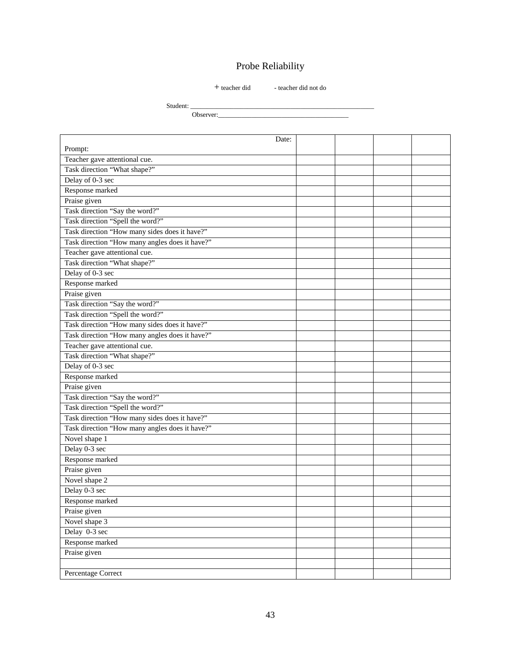# Probe Reliability

#### $+$  teacher did  $-$  teacher did not do

Student: \_

Observer:\_\_\_\_\_\_\_\_\_\_\_\_\_\_\_\_\_\_\_\_\_\_\_\_\_\_\_\_\_\_\_\_\_\_\_\_\_\_\_

| Date:                                          |  |  |  |
|------------------------------------------------|--|--|--|
| Prompt:                                        |  |  |  |
| Teacher gave attentional cue.                  |  |  |  |
| Task direction "What shape?"                   |  |  |  |
| Delay of 0-3 sec                               |  |  |  |
| Response marked                                |  |  |  |
| Praise given                                   |  |  |  |
| Task direction "Say the word?"                 |  |  |  |
| Task direction "Spell the word?"               |  |  |  |
| Task direction "How many sides does it have?"  |  |  |  |
| Task direction "How many angles does it have?" |  |  |  |
| Teacher gave attentional cue.                  |  |  |  |
| Task direction "What shape?"                   |  |  |  |
| Delay of 0-3 sec                               |  |  |  |
| Response marked                                |  |  |  |
| Praise given                                   |  |  |  |
| Task direction "Say the word?"                 |  |  |  |
| Task direction "Spell the word?"               |  |  |  |
| Task direction "How many sides does it have?"  |  |  |  |
| Task direction "How many angles does it have?" |  |  |  |
| Teacher gave attentional cue.                  |  |  |  |
| Task direction "What shape?"                   |  |  |  |
| Delay of 0-3 sec                               |  |  |  |
| Response marked                                |  |  |  |
| Praise given                                   |  |  |  |
| Task direction "Say the word?"                 |  |  |  |
| Task direction "Spell the word?"               |  |  |  |
| Task direction "How many sides does it have?"  |  |  |  |
| Task direction "How many angles does it have?" |  |  |  |
| Novel shape 1                                  |  |  |  |
| Delay 0-3 sec                                  |  |  |  |
| Response marked                                |  |  |  |
| Praise given                                   |  |  |  |
| Novel shape 2                                  |  |  |  |
| Delay 0-3 sec                                  |  |  |  |
| Response marked                                |  |  |  |
| Praise given                                   |  |  |  |
| Novel shape 3                                  |  |  |  |
| Delay 0-3 sec                                  |  |  |  |
| Response marked                                |  |  |  |
| Praise given                                   |  |  |  |
|                                                |  |  |  |
| Percentage Correct                             |  |  |  |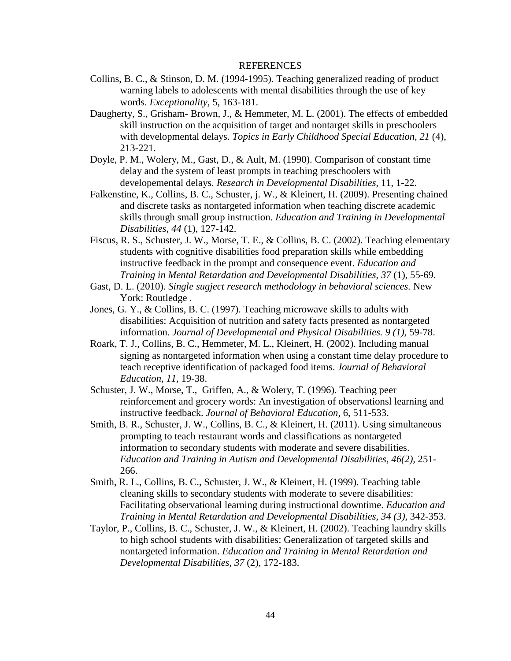#### REFERENCES

- <span id="page-52-0"></span>Collins, B. C., & Stinson, D. M. (1994-1995). Teaching generalized reading of product warning labels to adolescents with mental disabilities through the use of key words. *Exceptionality,* 5, 163-181.
- Daugherty, S., Grisham- Brown, J., & Hemmeter, M. L. (2001). The effects of embedded skill instruction on the acquisition of target and nontarget skills in preschoolers with developmental delays. *Topics in Early Childhood Special Education, 21* (4), 213-221.
- Doyle, P. M., Wolery, M., Gast, D., & Ault, M. (1990). Comparison of constant time delay and the system of least prompts in teaching preschoolers with developemental delays. *Research in Developmental Disabilities,* 11, 1-22.
- Falkenstine, K., Collins, B. C., Schuster, j. W., & Kleinert, H. (2009). Presenting chained and discrete tasks as nontargeted information when teaching discrete academic skills through small group instruction. *Education and Training in Developmental Disabilities, 44* (1), 127-142.
- Fiscus, R. S., Schuster, J. W., Morse, T. E., & Collins, B. C. (2002). Teaching elementary students with cognitive disabilities food preparation skills while embedding instructive feedback in the prompt and consequence event. *Education and Training in Mental Retardation and Developmental Disabilities, 37* (1), 55-69.
- Gast, D. L. (2010). *Single sugject research methodology in behavioral sciences.* New York: Routledge.
- Jones, G. Y., & Collins, B. C. (1997). Teaching microwave skills to adults with disabilities: Acquisition of nutrition and safety facts presented as nontargeted information. *Journal of Developmental and Physical Disabilities. 9 (1),* 59-78.
- Roark, T. J., Collins, B. C., Hemmeter, M. L., Kleinert, H. (2002). Including manual signing as nontargeted information when using a constant time delay procedure to teach receptive identification of packaged food items. *Journal of Behavioral Education, 11,* 19-38.
- Schuster, J. W., Morse, T., Griffen, A., & Wolery, T. (1996). Teaching peer reinforcement and grocery words: An investigation of observationsl learning and instructive feedback. *Journal of Behavioral Education,* 6, 511-533.
- Smith, B. R., Schuster, J. W., Collins, B. C., & Kleinert, H. (2011). Using simultaneous prompting to teach restaurant words and classifications as nontargeted information to secondary students with moderate and severe disabilities. *Education and Training in Autism and Developmental Disabilities, 46(2),* 251- 266.
- Smith, R. L., Collins, B. C., Schuster, J. W., & Kleinert, H. (1999). Teaching table cleaning skills to secondary students with moderate to severe disabilities: Facilitating observational learning during instructional downtime. *Education and Training in Mental Retardation and Developmental Disabilities, 34 (3),* 342-353.
- Taylor, P., Collins, B. C., Schuster, J. W., & Kleinert, H. (2002). Teaching laundry skills to high school students with disabilities: Generalization of targeted skills and nontargeted information. *Education and Training in Mental Retardation and Developmental Disabilities, 37* (2), 172-183.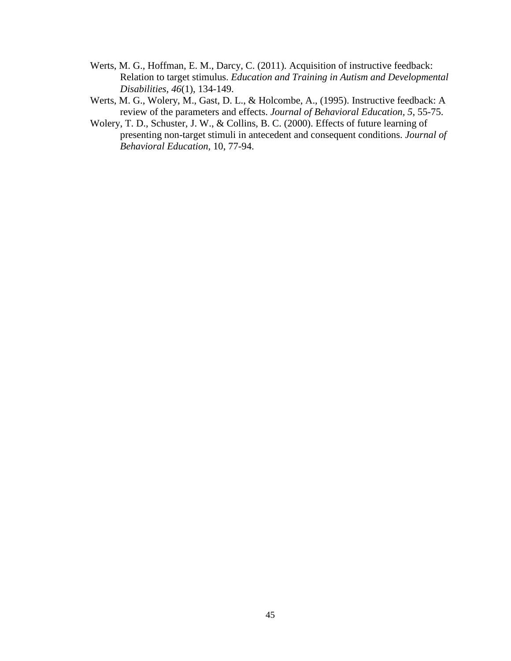- Werts, M. G., Hoffman, E. M., Darcy, C. (2011). Acquisition of instructive feedback: Relation to target stimulus. *Education and Training in Autism and Developmental Disabilities, 46*(1), 134-149.
- Werts, M. G., Wolery, M., Gast, D. L., & Holcombe, A., (1995). Instructive feedback: A review of the parameters and effects. *Journal of Behavioral Education, 5*, 55-75.
- Wolery, T. D., Schuster, J. W., & Collins, B. C. (2000). Effects of future learning of presenting non-target stimuli in antecedent and consequent conditions. *Journal of Behavioral Education,* 10, 77-94.